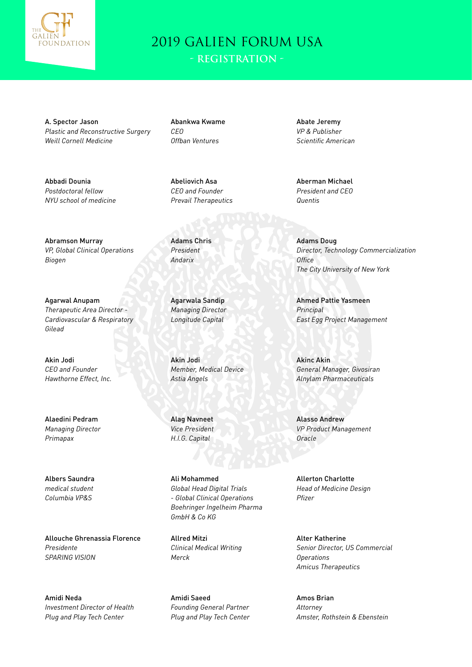

A. Spector Jason *Plastic and Reconstructive Surgery Weill Cornell Medicine*

Abbadi Dounia *Postdoctoral fellow NYU school of medicine*

Abramson Murray *VP, Global Clinical Operations Biogen*

Agarwal Anupam *Therapeutic Area Director - Cardiovascular & Respiratory Gilead*

Akin Jodi *CEO and Founder Hawthorne Effect, Inc.*

Alaedini Pedram *Managing Director Primapax*

Albers Saundra *medical student Columbia VP&S*

Allouche Ghrenassia Florence *Presidente SPARING VISION*

Amidi Neda *Investment Director of Health Plug and Play Tech Center*

Abankwa Kwame *CEO Offban Ventures*

Abeliovich Asa *CEO and Founder Prevail Therapeutics*

Adams Chris *President Andarix*

Agarwala Sandip *Managing Director Longitude Capital*

Akin Jodi *Member, Medical Device Astia Angels*

Alag Navneet *Vice President H.I.G. Capital*

Ali Mohammed *Global Head Digital Trials - Global Clinical Operations Boehringer Ingelheim Pharma GmbH & Co KG*

Allred Mitzi *Clinical Medical Writing Merck*

Amidi Saeed *Founding General Partner Plug and Play Tech Center* Abate Jeremy *VP & Publisher Scientific American*

Aberman Michael *President and CEO Quentis*

Adams Doug *Director, Technology Commercialization Office The City University of New York*

Ahmed Pattie Yasmeen *Principal East Egg Project Management*

Akinc Akin *General Manager, Givosiran Alnylam Pharmaceuticals*

Alasso Andrew *VP Product Management Oracle*

Allerton Charlotte *Head of Medicine Design Pfizer*

Alter Katherine *Senior Director, US Commercial Operations Amicus Therapeutics*

Amos Brian *Attorney Amster, Rothstein & Ebenstein*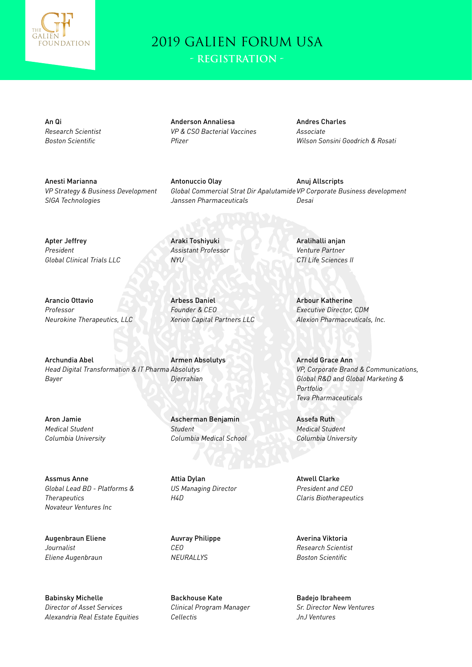

**- Registration -**

An Qi *Research Scientist Boston Scientific*

Anderson Annaliesa *VP & CSO Bacterial Vaccines Pfizer*

Andres Charles *Associate Wilson Sonsini Goodrich & Rosati*

Anesti Marianna *VP Strategy & Business Development SIGA Technologies*

Antonuccio Olay *Global Commercial Strat Dir Apalutamide VP Corporate Business development Janssen Pharmaceuticals* Anuj Allscripts *Desai*

Apter Jeffrey *President Global Clinical Trials LLC*

*Neurokine Therapeutics, LLC*

Arancio Ottavio *Professor*

*Assistant Professor NYU*

Araki Toshiyuki

Arbess Daniel *Founder & CEO Xerion Capital Partners LLC*

Archundia Abel *Head Digital Transformation & IT Pharma Absolutys Bayer* Armen Absolutys *Djerrahian*

Aron Jamie *Medical Student Columbia University*

Assmus Anne *Global Lead BD - Platforms & Therapeutics Novateur Ventures Inc*

Augenbraun Eliene *Journalist Eliene Augenbraun*

Babinsky Michelle *Director of Asset Services Alexandria Real Estate Equities* Ascherman Benjamin *Student*

*Columbia Medical School*

Attia Dylan *US Managing Director H4D*

Auvray Philippe *CEO NEURALLYS*

Backhouse Kate *Clinical Program Manager Cellectis*

Aralihalli anjan *Venture Partner CTI Life Sciences II*

Arbour Katherine *Executive Director, CDM Alexion Pharmaceuticals, Inc.*

Arnold Grace Ann *VP, Corporate Brand & Communications, Global R&D and Global Marketing & Portfolio Teva Pharmaceuticals*

Assefa Ruth *Medical Student Columbia University*

Atwell Clarke *President and CEO Claris Biotherapeutics*

Averina Viktoria *Research Scientist Boston Scientific*

Badejo Ibraheem *Sr. Director New Ventures JnJ Ventures*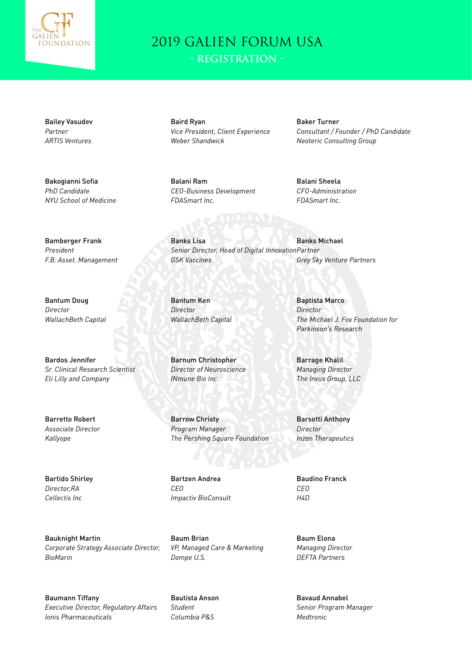

**- Registration -**

Bailey Vasudev *Partner ARTIS Ventures*

Bakogianni Sofia *PhD Candidate NYU School of Medicine*

Bamberger Frank *President F.B. Asset. Management*

Bantum Doug *Director WallachBeth Capital*

Bardos Jennifer *Sr. Clinical Research Scientist Eli Lilly and Company*

Barretto Robert *Associate Director Kallyope*

Bartido Shirley *Director,RA Cellectis Inc*

Bauknight Martin *Corporate Strategy Associate Director, BioMarin*

Baumann Tiffany *Executive Director, Regulatory Affairs Ionis Pharmaceuticals*

Baird Ryan *Vice President, Client Experience Weber Shandwick*

Balani Ram *CEO-Business Development FDASmart Inc.*

Baker Turner *Consultant / Founder / PhD Candidate Neoteric Consulting Group*

Balani Sheela *CFO-Administration FDASmart Inc.*

Banks Lisa *Senior Director, Head of Digital Innovation Partner GSK Vaccines* Banks Michael *Grey Sky Venture Partners*

Bantum Ken *Director WallachBeth Capital*

Barnum Christopher *Director of Neuroscience INmune Bio Inc*

Barrow Christy *Program Manager The Pershing Square Foundation*

Bartzen Andrea *CEO Impactiv BioConsult*

Baum Brian *VP, Managed Care & Marketing Dompe U.S.*

Bautista Anson *Student Columbia P&S*

Baptista Marco *Director The Michael J. Fox Foundation for Parkinson's Research*

Barrage Khalil *Managing Director The Invus Group, LLC*

Barsotti Anthony *Director Inzen Therapeutics*

Baudino Franck *CEO H4D*

Baum Elona *Managing Director DEFTA Partners*

Bavaud Annabel *Senior Program Manager Medtronic*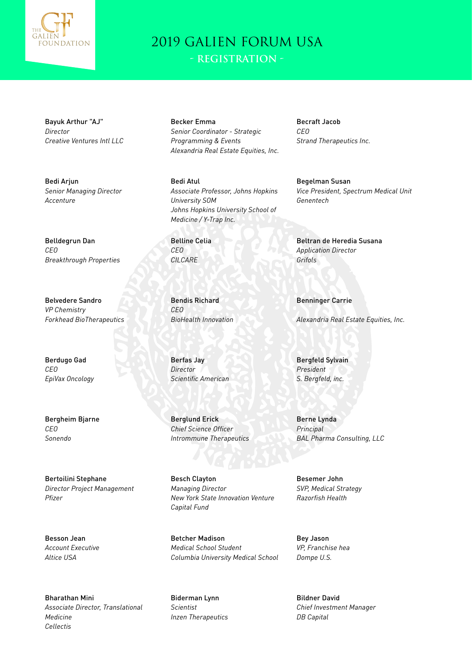

Bayuk Arthur "AJ" *Director Creative Ventures Intl LLC*

Bedi Arjun *Senior Managing Director Accenture*

Belldegrun Dan *CEO Breakthrough Properties*

Belvedere Sandro *VP Chemistry Forkhead BioTherapeutics*

Berdugo Gad *CEO EpiVax Oncology*

Bergheim Bjarne *CEO Sonendo*

Bertoilini Stephane *Director Project Management Pfizer*

Besson Jean *Account Executive Altice USA*

Bharathan Mini *Associate Director, Translational Medicine Cellectis*

Becker Emma *Senior Coordinator - Strategic Programming & Events Alexandria Real Estate Equities, Inc.* Becraft Jacob *CEO Strand Therapeutics Inc.*

*Genentech*

Bedi Atul *Associate Professor, Johns Hopkins University SOM Johns Hopkins University School of Medicine / Y-Trap Inc.*

Belline Celia *CEO CILCARE*

Bendis Richard *CEO BioHealth Innovation*

Berfas Jay *Director Scientific American*

Berglund Erick *Chief Science Officer Intrommune Therapeutics*

Besch Clayton *Managing Director New York State Innovation Venture Capital Fund*

Betcher Madison *Medical School Student Columbia University Medical School*

Biderman Lynn *Scientist Inzen Therapeutics* Begelman Susan *Vice President, Spectrum Medical Unit*

Beltran de Heredia Susana *Application Director Grifols*

Benninger Carrie

*Alexandria Real Estate Equities, Inc.*

Bergfeld Sylvain *President S. Bergfeld, inc.*

Berne Lynda *Principal BAL Pharma Consulting, LLC*

Besemer John *SVP, Medical Strategy Razorfish Health*

Bey Jason *VP, Franchise hea Dompe U.S.*

Bildner David *Chief Investment Manager DB Capital*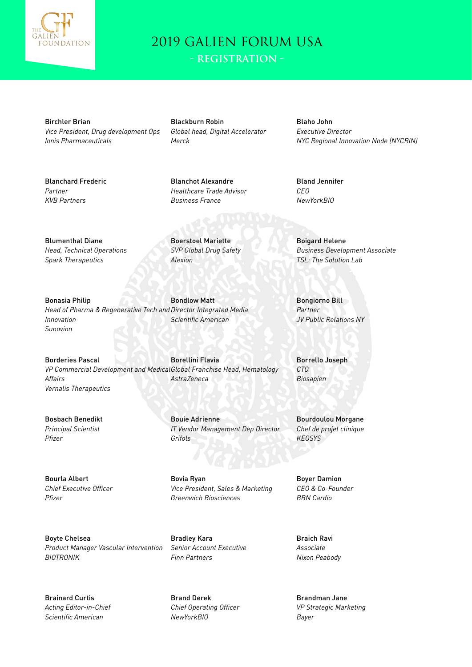

**- Registration -**

Birchler Brian *Vice President, Drug development Ops Ionis Pharmaceuticals*

Blackburn Robin *Global head, Digital Accelerator Merck*

Blanchot Alexandre *Healthcare Trade Advisor Business France*

Blaho John *Executive Director NYC Regional Innovation Node (NYCRIN)*

Blanchard Frederic *Partner KVB Partners*

Bland Jennifer *CEO NewYorkBIO*

Blumenthal Diane *Head, Technical Operations Spark Therapeutics*

Boerstoel Mariette *SVP Global Drug Safety Alexion*

Bonasia Philip *Head of Pharma & Regenerative Tech and Director Integrated Media Innovation Sunovion* Bondlow Matt *Scientific American*

Borderies Pascal *VP Commercial Development and Medical Global Franchise Head, Hematology Affairs Vernalis Therapeutics* Borellini Flavia *AstraZeneca*

> Bouie Adrienne *IT Vendor Management Dep Director Grifols*

Bovia Ryan *Vice President, Sales & Marketing Greenwich Biosciences*

Boyte Chelsea *Product Manager Vascular Intervention BIOTRONIK*

Brainard Curtis *Acting Editor-in-Chief Scientific American*

Bosbach Benedikt *Principal Scientist*

Bourla Albert *Chief Executive Officer*

*Pfizer*

*Pfizer*

Bradley Kara *Senior Account Executive*

Brand Derek *Chief Operating Officer NewYorkBIO*

*Finn Partners*

Boigard Helene *Business Development Associate TSL: The Solution Lab*

Bongiorno Bill *Partner JV Public Relations NY*

Borrello Joseph *CTO Biosapien*

Bourdoulou Morgane *Chef de projet clinique KEOSYS*

Boyer Damion *CEO & Co-Founder BBN Cardio*

Braich Ravi *Associate Nixon Peabody*

Brandman Jane *VP Strategic Marketing Bayer*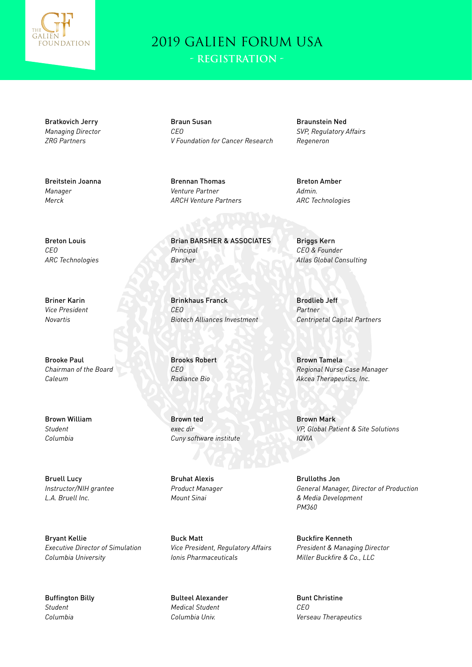

Bratkovich Jerry *Managing Director ZRG Partners*

Breitstein Joanna *Manager Merck*

Braun Susan *CEO V Foundation for Cancer Research*

Brennan Thomas *Venture Partner ARCH Venture Partners* Braunstein Ned *SVP, Regulatory Affairs Regeneron*

Breton Amber *Admin. ARC Technologies*

Brian BARSHER & ASSOCIATES *Principal Barsher*

Brinkhaus Franck *CEO Biotech Alliances Investment*

Brooks Robert *CEO Radiance Bio*

Brown ted *exec dir Cuny software institute*

Bruhat Alexis *Product Manager Mount Sinai*

Buck Matt *Vice President, Regulatory Affairs Ionis Pharmaceuticals*

Bulteel Alexander *Medical Student Columbia Univ.*

Briggs Kern *CEO & Founder Atlas Global Consulting*

Brodlieb Jeff *Partner Centripetal Capital Partners*

Brown Tamela *Regional Nurse Case Manager Akcea Therapeutics, Inc.*

Brown Mark *VP, Global Patient & Site Solutions IQVIA*

Brulloths Jon *General Manager, Director of Production & Media Development PM360*

Buckfire Kenneth *President & Managing Director Miller Buckfire & Co., LLC*

Bunt Christine *CEO Verseau Therapeutics*

Breton Louis *CEO ARC Technologies*

Briner Karin *Vice President Novartis*

Brooke Paul *Chairman of the Board Caleum*

Brown William *Student Columbia*

Bruell Lucy *Instructor/NIH grantee L.A. Bruell Inc.*

Bryant Kellie *Executive Director of Simulation Columbia University*

Buffington Billy *Student Columbia*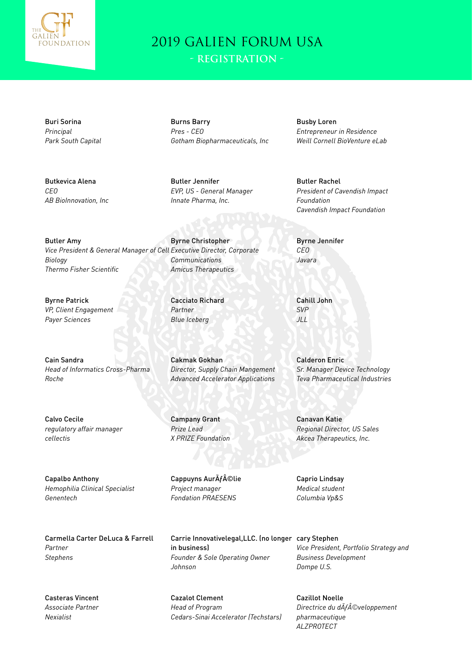

Buri Sorina *Principal Park South Capital*

Butkevica Alena *CEO AB BioInnovation, Inc*

Burns Barry *Pres - CEO Gotham Biopharmaceuticals, Inc*

Butler Jennifer *EVP, US - General Manager Innate Pharma, Inc.*

Byrne Christopher *Communications Amicus Therapeutics*

> Cacciato Richard *Partner Blue Iceberg*

Cakmak Gokhan *Director, Supply Chain Mangement Advanced Accelerator Applications*

Campany Grant *Prize Lead X PRIZE Foundation*

Cappuyns AurÃf©lie *Project manager Fondation PRAESENS*

Carrie Innovativelegal,LLC. (no longer cary Stephen in business) *Founder & Sole Operating Owner Johnson*

Cazalot Clement *Head of Program Cedars-Sinai Accelerator (Techstars)* Busby Loren *Entrepreneur in Residence Weill Cornell BioVenture eLab*

Butler Rachel *President of Cavendish Impact Foundation Cavendish Impact Foundation*

Byrne Jennifer *CEO Javara*

Cahill John *SVP JLL*

Calderon Enric *Sr. Manager Device Technology Teva Pharmaceutical Industries*

Canavan Katie *Regional Director, US Sales Akcea Therapeutics, Inc.*

Caprio Lindsay *Medical student Columbia Vp&S*

*Vice President, Portfolio Strategy and Business Development Dompe U.S.*

Cazillot Noelle *Directrice du dAfÂ*©veloppement *pharmaceutique ALZPROTECT*

Butler Amy *Vice President & General Manager of Cell Executive Director, Corporate Biology Thermo Fisher Scientific*

Byrne Patrick *VP, Client Engagement Payer Sciences*

Cain Sandra *Head of Informatics Cross-Pharma Roche*

Calvo Cecile *regulatory affair manager cellectis*

Capalbo Anthony *Hemophilia Clinical Specialist Genentech*

Carmella Carter DeLuca & Farrell *Partner Stephens*

Casteras Vincent *Associate Partner Nexialist*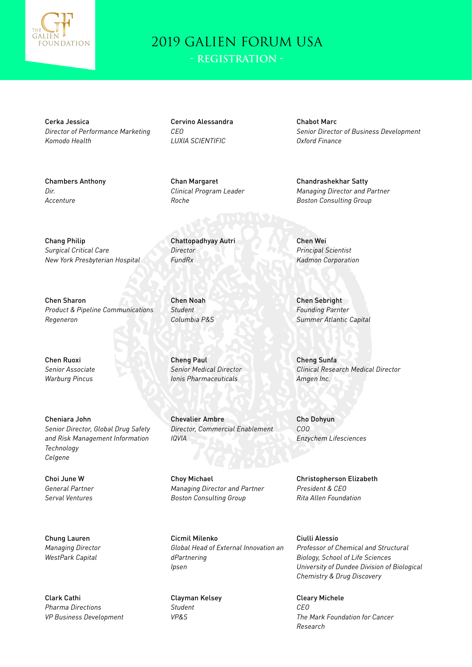

**- Registration -**

Cerka Jessica *Director of Performance Marketing Komodo Health*

Chambers Anthony

Chang Philip *Surgical Critical Care*

Chen Sharon

*Regeneron*

*New York Presbyterian Hospital*

*Dir. Accenture*

Cervino Alessandra *CEO LUXIA SCIENTIFIC*

Chan Margaret *Clinical Program Leader Roche*

*FundRx*

Chattopadhyay Autri *Director*

*Product & Pipeline Communications* Chen Noah *Student Columbia P&S*

Chen Ruoxi *Senior Associate Warburg Pincus*

Cheniara John *Senior Director, Global Drug Safety and Risk Management Information Technology Celgene*

Choi June W *General Partner Serval Ventures*

Chung Lauren *Managing Director WestPark Capital*

Clark Cathi *Pharma Directions VP Business Development* Cheng Paul

*Senior Medical Director Ionis Pharmaceuticals*

Chevalier Ambre *Director, Commercial Enablement IQVIA*

Choy Michael *Managing Director and Partner Boston Consulting Group*

Cicmil Milenko *Global Head of External Innovation an dPartnering Ipsen*

Clayman Kelsey *Student VP&S*

Chabot Marc *Senior Director of Business Development Oxford Finance*

Chandrashekhar Satty *Managing Director and Partner Boston Consulting Group*

Chen Wei *Principal Scientist Kadmon Corporation*

Chen Sebright *Founding Parnter Summer Atlantic Capital*

Cheng Sunfa *Clinical Research Medical Director Amgen Inc.*

Cho Dohyun *COO Enzychem Lifesciences*

Christopherson Elizabeth *President & CEO Rita Allen Foundation*

Ciulli Alessio *Professor of Chemical and Structural Biology, School of Life Sciences University of Dundee Division of Biological Chemistry & Drug Discovery*

Cleary Michele *CEO The Mark Foundation for Cancer Research*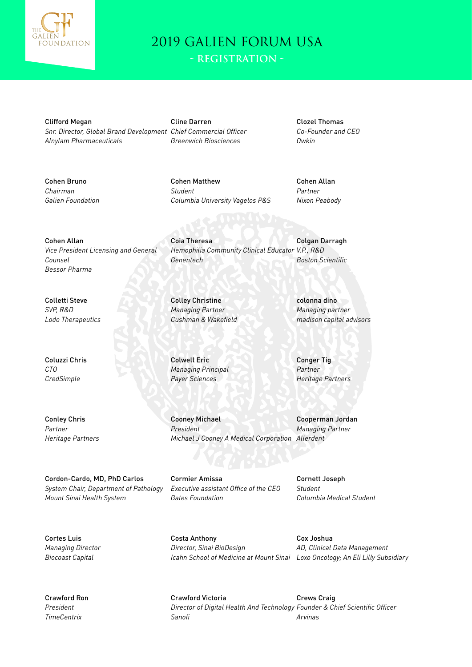

Clifford Megan *Snr. Director, Global Brand Development Chief Commercial Officer Alnylam Pharmaceuticals*

Cline Darren *Greenwich Biosciences*

Coia Theresa

Colley Christine *Managing Partner Cushman & Wakefield*

Colwell Eric *Managing Principal Payer Sciences*

Cooney Michael *President*

*Genentech*

Clozel Thomas *Co-Founder and CEO Owkin*

Cohen Bruno *Chairman Galien Foundation* Cohen Matthew *Student Columbia University Vagelos P&S*

*Hemophilia Community Clinical Educator V.P., R&D*

Cohen Allan *Partner Nixon Peabody*

Colgan Darragh

*Boston Scientific*

Cohen Allan *Vice President Licensing and General Counsel Bessor Pharma*

Colletti Steve *SVP, R&D Lodo Therapeutics*

Coluzzi Chris *CTO CredSimple*

Conley Chris *Partner Heritage Partners*

Cordon-Cardo, MD, PhD Carlos *System Chair, Department of Pathology Mount Sinai Health System*

Cormier Amissa *Executive assistant Office of the CEO Gates Foundation*

colonna dino *Managing partner madison capital advisors*

Conger Tig *Partner Heritage Partners*

*Michael J Cooney A Medical Corporation* Cooperman Jordan *Managing Partner Allerdent*

> Cornett Joseph *Student Columbia Medical Student*

Cortes Luis *Managing Director Biocoast Capital*

Crawford Ron *President TimeCentrix*

Costa Anthony *Director, Sinai BioDesign Icahn School of Medicine at Mount Sinai Loxo Oncology; An Eli Lilly Subsidiary*

Cox Joshua *AD, Clinical Data Management*

Crawford Victoria *Director of Digital Health And Technology Founder & Chief Scientific Officer Sanofi* Crews Craig *Arvinas*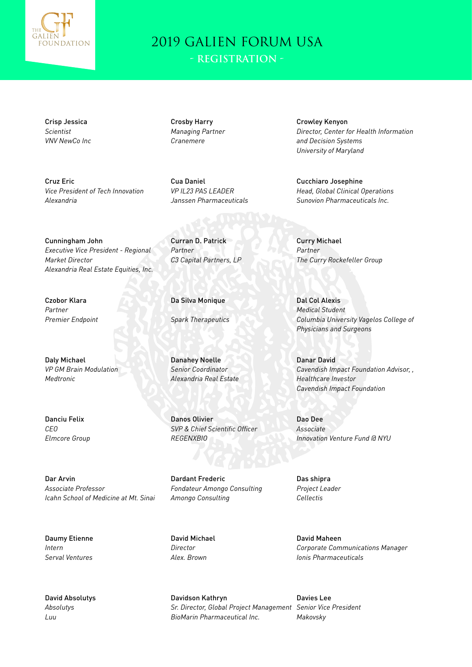

Crisp Jessica *Scientist VNV NewCo Inc*

Cruz Eric *Vice President of Tech Innovation Alexandria*

Crosby Harry *Managing Partner Cranemere*

Cua Daniel *VP IL23 PAS LEADER Janssen Pharmaceuticals*

Cunningham John *Executive Vice President - Regional Market Director Alexandria Real Estate Equities, Inc.*

Czobor Klara *Partner Premier Endpoint*

Daly Michael *VP GM Brain Modulation Medtronic*

Danciu Felix *CEO Elmcore Group*

Dar Arvin *Associate Professor Icahn School of Medicine at Mt. Sinai*

Daumy Etienne *Intern Serval Ventures*

David Absolutys *Absolutys Luu*

Da Silva Monique

Curran D. Patrick

*C3 Capital Partners, LP*

*Partner*

*Spark Therapeutics*

Danahey Noelle *Senior Coordinator Alexandria Real Estate*

Danos Olivier *SVP & Chief Scientific Officer REGENXBIO*

Dardant Frederic *Fondateur Amongo Consulting Amongo Consulting*

David Michael *Director Alex. Brown*

Davidson Kathryn *Sr. Director, Global Project Management Senior Vice President BioMarin Pharmaceutical Inc.*

Crowley Kenyon *Director, Center for Health Information and Decision Systems University of Maryland*

Cucchiaro Josephine *Head, Global Clinical Operations Sunovion Pharmaceuticals Inc.*

Curry Michael *Partner The Curry Rockefeller Group*

Dal Col Alexis *Medical Student Columbia University Vagelos College of Physicians and Surgeons*

Danar David *Cavendish Impact Foundation Advisor, , Healthcare Investor Cavendish Impact Foundation*

Dao Dee *Associate Innovation Venture Fund @ NYU*

Das shipra *Project Leader Cellectis*

David Maheen *Corporate Communications Manager Ionis Pharmaceuticals*

Davies Lee *Makovsky*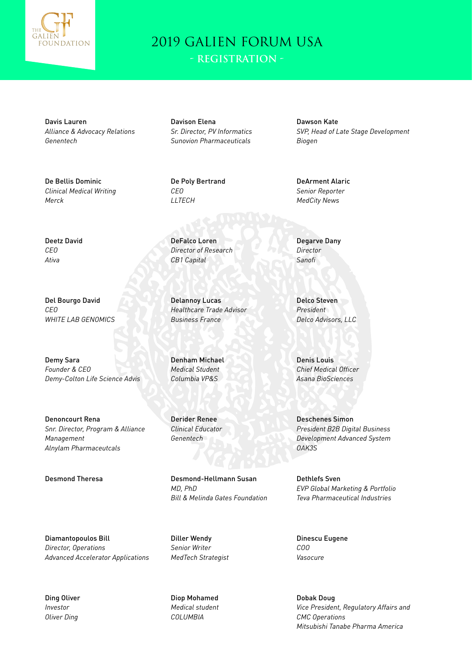

Davis Lauren *Alliance & Advocacy Relations Genentech*

De Bellis Dominic *Clinical Medical Writing Merck*

Davison Elena *Sr. Director, PV Informatics Sunovion Pharmaceuticals*

De Poly Bertrand *CEO LLTECH*

DeFalco Loren *Director of Research CB1 Capital*

Delannoy Lucas *Healthcare Trade Advisor Business France*

Denham Michael *Medical Student Columbia VP&S*

Derider Renee *Clinical Educator Genentech*

Desmond Theresa **Desmond-Hellmann Susan** *MD, PhD Bill & Melinda Gates Foundation*

> Diller Wendy *Senior Writer MedTech Strategist*

Diop Mohamed *Medical student COLUMBIA*

Dawson Kate *SVP, Head of Late Stage Development Biogen*

DeArment Alaric *Senior Reporter MedCity News*

Degarve Dany *Director Sanofi*

Delco Steven *President Delco Advisors, LLC*

Denis Louis *Chief Medical Officer Asana BioSciences*

Deschenes Simon *President B2B Digital Business Development Advanced System OAK3S*

Dethlefs Sven *EVP Global Marketing & Portfolio Teva Pharmaceutical Industries*

Dinescu Eugene *COO Vasocure*

Dobak Doug *Vice President, Regulatory Affairs and CMC Operations Mitsubishi Tanabe Pharma America*

Deetz David *CEO Ativa*

Del Bourgo David *CEO WHITE LAB GENOMICS*

Demy Sara *Founder & CEO Demy-Colton Life Science Advis*

Denoncourt Rena *Snr. Director, Program & Alliance Management Alnylam Pharmaceutcals*

Diamantopoulos Bill *Director, Operations Advanced Accelerator Applications*

Ding Oliver *Investor Oliver Ding*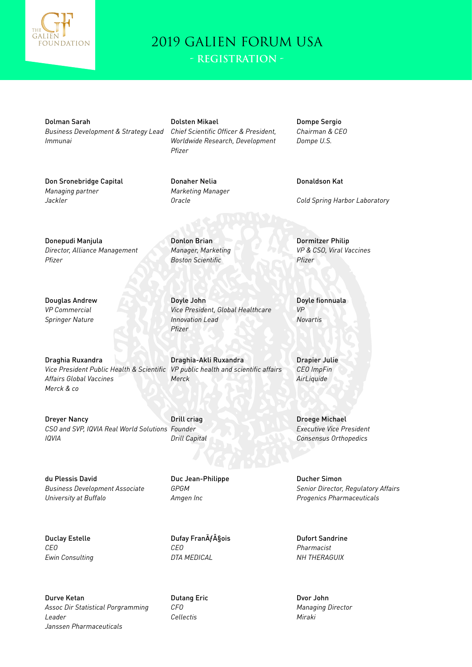

**- Registration -**

Dolman Sarah *Business Development & Strategy Lead Immunai*

Don Sronebridge Capital *Managing partner Jackler*

Dolsten Mikael *Chief Scientific Officer & President, Worldwide Research, Development Pfizer*

*Vice President, Global Healthcare* 

Donaher Nelia *Marketing Manager Oracle*

Donlon Brian *Manager, Marketing Boston Scientific*

Doyle John

*Pfizer*

*Merck*

*Innovation Lead*

Draghia-Akli Ruxandra

Dompe Sergio *Chairman & CEO Dompe U.S.*

Donaldson Kat

*Cold Spring Harbor Laboratory*

Donepudi Manjula *Director, Alliance Management Pfizer*

Douglas Andrew *VP Commercial Springer Nature*

Draghia Ruxandra *Vice President Public Health & Scientific VP public health and scientific affairs Affairs Global Vaccines Merck & co*

Dreyer Nancy *CSO and SVP, IQVIA Real World Solutions Founder IQVIA* Drill criag *Drill Capital*

du Plessis David *Business Development Associate University at Buffalo*

Duclay Estelle *CEO Ewin Consulting*

Duc Jean-Philippe

*GPGM Amgen Inc*

Dufay FranÃf§ois *CEO DTA MEDICAL*

Durve Ketan *Assoc Dir Statistical Porgramming Leader Janssen Pharmaceuticals*

Dutang Eric *CFO Cellectis*

Dormitzer Philip *VP & CSO, Viral Vaccines Pfizer*

Doyle fionnuala *VP Novartis*

Drapier Julie *CEO ImpFin AirLiquide*

Droege Michael *Executive Vice President Consensus Orthopedics*

Ducher Simon *Senior Director, Regulatory Affairs Progenics Pharmaceuticals*

Dufort Sandrine *Pharmacist NH THERAGUIX*

Dvor John *Managing Director Miraki*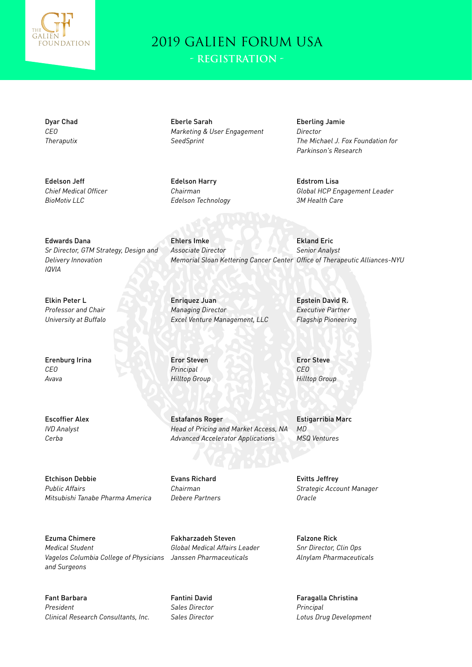

**- Registration -**

Dyar Chad *CEO Theraputix*

Edelson Jeff *Chief Medical Officer BioMotiv LLC*

Eberle Sarah *Marketing & User Engagement SeedSprint*

Edelson Harry *Chairman Edelson Technology*

Ehlers Imke *Associate Director* Eberling Jamie *Director The Michael J. Fox Foundation for Parkinson's Research*

Edstrom Lisa *Global HCP Engagement Leader 3M Health Care*

Edwards Dana *Sr Director, GTM Strategy, Design and Delivery Innovation IQVIA*

Elkin Peter L *Professor and Chair University at Buffalo*

Erenburg Irina *CEO Avava*

Escoffier Alex *IVD Analyst Cerba*

*Managing Director Excel Venture Management, LLC*

Enriquez Juan

Eror Steven *Principal Hilltop Group*

Estafanos Roger *Head of Pricing and Market Access, NA Advanced Accelerator Applications*

Etchison Debbie *Public Affairs Mitsubishi Tanabe Pharma America*

Ezuma Chimere *Medical Student Vagelos Columbia College of Physicians Janssen Pharmaceuticals and Surgeons*

Fant Barbara *President Clinical Research Consultants, Inc.*

Evans Richard *Chairman Debere Partners*

Fakharzadeh Steven *Global Medical Affairs Leader*

Fantini David *Sales Director Sales Director* Epstein David R. *Executive Partner Flagship Pioneering*

Ekland Eric *Senior Analyst*

*Memorial Sloan Kettering Cancer Center Office of Therapeutic Alliances-NYU*

Eror Steve *CEO Hilltop Group*

Estigarribia Marc *MD MSQ Ventures*

Evitts Jeffrey *Strategic Account Manager Oracle*

Falzone Rick *Snr Director, Clin Ops Alnylam Pharmaceuticals*

Faragalla Christina *Principal Lotus Drug Development*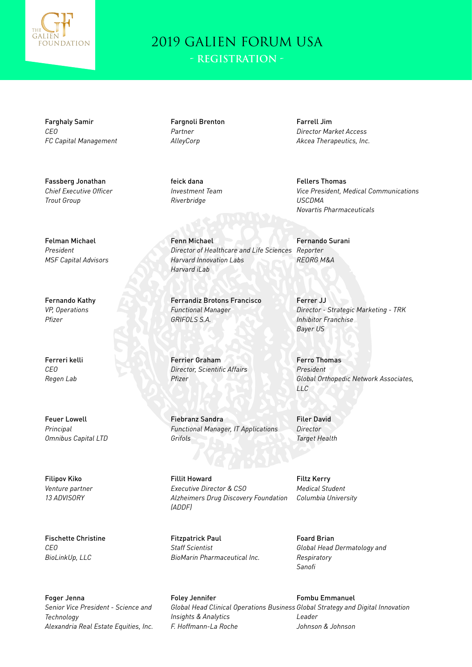

**- Registration -**

Farghaly Samir *CEO FC Capital Management*

Fassberg Jonathan *Chief Executive Officer Trout Group*

Felman Michael *President MSF Capital Advisors*

Fernando Kathy *VP, Operations Pfizer*

Ferreri kelli *CEO Regen Lab*

Feuer Lowell *Principal Omnibus Capital LTD*

Filipov Kiko *Venture partner 13 ADVISORY*

Fischette Christine *CEO BioLinkUp, LLC*

Foger Jenna *Senior Vice President - Science and Technology Alexandria Real Estate Equities, Inc.*

Fargnoli Brenton *Partner AlleyCorp*

feick dana *Investment Team Riverbridge*

Fenn Michael *Director of Healthcare and Life Sciences Harvard Innovation Labs Harvard iLab*

Ferrandiz Brotons Francisco *Functional Manager GRIFOLS S.A.*

Ferrier Graham *Director, Scientific Affairs Pfizer*

Fiebranz Sandra *Functional Manager, IT Applications Grifols*

Fillit Howard *Executive Director & CSO Alzheimers Drug Discovery Foundation (ADDF)*

Fitzpatrick Paul *Staff Scientist BioMarin Pharmaceutical Inc.*

Foley Jennifer

Farrell Jim *Director Market Access Akcea Therapeutics, Inc.*

Fellers Thomas *Vice President, Medical Communications USCDMA Novartis Pharmaceuticals*

Fernando Surani *Reporter REORG M&A*

Ferrer JJ *Director - Strategic Marketing - TRK Inhibitor Franchise Bayer US*

Ferro Thomas *President Global Orthopedic Network Associates, LLC*

Filer David *Director Target Health*

Filtz Kerry *Medical Student Columbia University*

Foard Brian *Global Head Dermatology and Respiratory Sanofi*

*Global Head Clinical Operations Business Global Strategy and Digital Innovation Insights & Analytics F. Hoffmann-La Roche* Fombu Emmanuel *Leader Johnson & Johnson*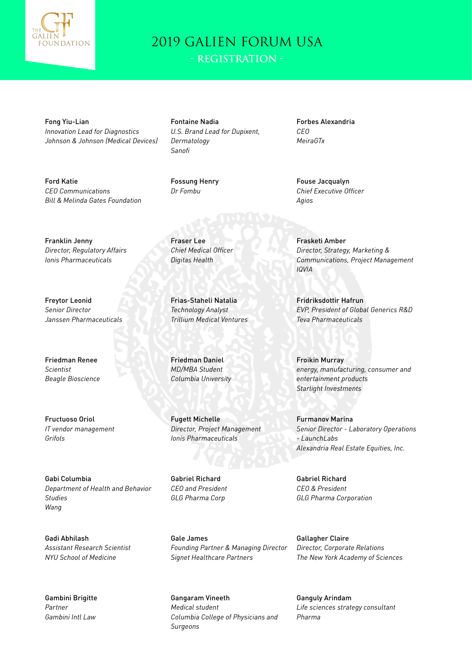

**- Registration -**

Fong Yiu-Lian *Innovation Lead for Diagnostics Johnson & Johnson (Medical Devices)*

Ford Katie *CEO Communications Bill & Melinda Gates Foundation*

Franklin Jenny *Director, Regulatory Affairs Ionis Pharmaceuticals*

Freytor Leonid *Senior Director Janssen Pharmaceuticals*

Friedman Renee *Scientist Beagle Bioscience*

Fructuoso Oriol *IT vendor management Grifols*

Gabi Columbia *Department of Health and Behavior Studies Wang*

Gadi Abhilash *Assistant Research Scientist NYU School of Medicine*

Gambini Brigitte *Partner Gambini Intl Law*

Fontaine Nadia *U.S. Brand Lead for Dupixent, Dermatology Sanofi*

Fossung Henry *Dr Fombu*

Fraser Lee

*Chief Medical Officer Digitas Health*

Frias-Staheli Natalia *Technology Analyst Trillium Medical Ventures*

Friedman Daniel *MD/MBA Student Columbia University*

Fugett Michelle

Gabriel Richard *CEO and President GLG Pharma Corp*

*Director, Project Management Ionis Pharmaceuticals*

Forbes Alexandria *CEO MeiraGTx*

Fouse Jacqualyn *Chief Executive Officer Agios*

Frasketi Amber *Director, Strategy, Marketing & Communications, Project Management IQVIA*

Fridriksdottir Hafrun *EVP, President of Global Generics R&D Teva Pharmaceuticals*

Froikin Murray *energy, manufacturing, consumer and entertainment products Starlight Investments*

Furmanov Marina *Senior Director - Laboratory Operations - LaunchLabs Alexandria Real Estate Equities, Inc.*

Gabriel Richard *CEO & President GLG Pharma Corporation*

Gale James *Founding Partner & Managing Director Signet Healthcare Partners*

Gangaram Vineeth *Medical student Columbia College of Physicians and Surgeons*

Gallagher Claire *Director, Corporate Relations The New York Academy of Sciences*

Ganguly Arindam *Life sciences strategy consultant Pharma*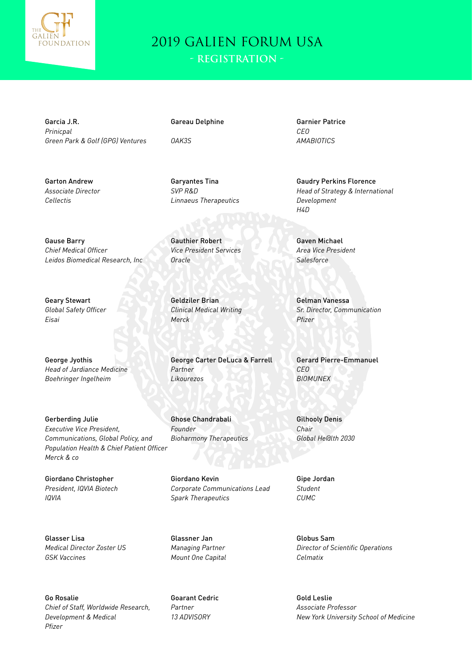

Garcia J.R. *Prinicpal Green Park & Golf (GPG) Ventures*

*Leidos Biomedical Research, Inc*

Gareau Delphine

*OAK3S*

Garyantes Tina *SVP R&D Linnaeus Therapeutics*

Gauthier Robert *Vice President Services Oracle*

*Clinical Medical Writing Merck*

*Partner Likourezos*

Ghose Chandrabali *Founder Bioharmony Therapeutics*

Giordano Kevin *Corporate Communications Lead Spark Therapeutics*

Glassner Jan *Managing Partner Mount One Capital*

Go Rosalie *Chief of Staff, Worldwide Research, Development & Medical Pfizer*

Goarant Cedric *Partner 13 ADVISORY*

Garnier Patrice *CEO AMABIOTICS*

Gaudry Perkins Florence *Head of Strategy & International Development H4D*

Gaven Michael *Area Vice President Salesforce*

Gelman Vanessa *Sr. Director, Communication Pfizer*

Gerard Pierre-Emmanuel *CEO BIOMUNEX*

Gilhooly Denis *Chair Global He@lth 2030*

Gipe Jordan *Student CUMC*

Globus Sam *Director of Scientific Operations Celmatix*

Gold Leslie *Associate Professor New York University School of Medicine*

Geary Stewart *Global Safety Officer Eisai*

Garton Andrew *Associate Director*

*Cellectis*

Gause Barry *Chief Medical Officer*

George Jyothis *Head of Jardiance Medicine Boehringer Ingelheim*

Gerberding Julie *Executive Vice President, Communications, Global Policy, and Population Health & Chief Patient Officer Merck & co*

Giordano Christopher *President, IQVIA Biotech IQVIA*

Glasser Lisa *Medical Director Zoster US GSK Vaccines*

Geldziler Brian

George Carter DeLuca & Farrell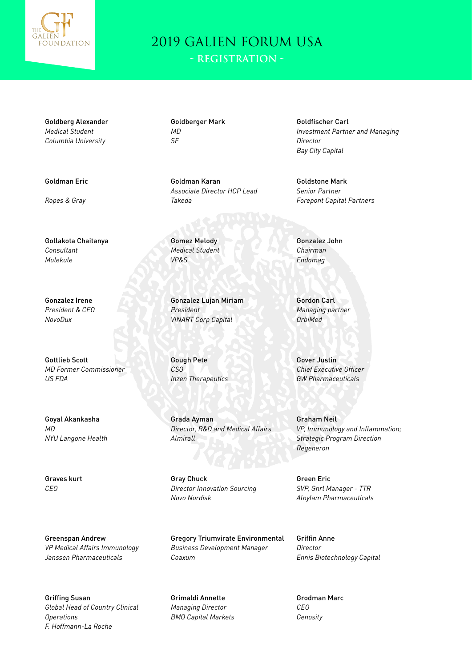

**- Registration -**

Goldberg Alexander *Medical Student Columbia University*

Goldman Eric

*Ropes & Gray*

Gollakota Chaitanya *Consultant Molekule*

Gonzalez Irene *President & CEO NovoDux*

Gottlieb Scott *MD Former Commissioner US FDA*

Goyal Akankasha *MD NYU Langone Health*

Graves kurt *CEO*

Greenspan Andrew *VP Medical Affairs Immunology Janssen Pharmaceuticals*

Griffing Susan *Global Head of Country Clinical Operations F. Hoffmann-La Roche*

Goldberger Mark *MD SE*

Goldman Karan *Associate Director HCP Lead Takeda*

Gomez Melody *Medical Student VP&S*

Gonzalez Lujan Miriam *President VINART Corp Capital*

Gough Pete *CSO Inzen Therapeutics*

Grada Ayman *Director, R&D and Medical Affairs Almirall*

Gray Chuck *Director Innovation Sourcing Novo Nordisk*

Gregory Triumvirate Environmental *Business Development Manager Coaxum*

Grimaldi Annette *Managing Director BMO Capital Markets* Goldfischer Carl *Investment Partner and Managing Director Bay City Capital*

Goldstone Mark *Senior Partner Forepont Capital Partners*

Gonzalez John *Chairman Endomag*

Gordon Carl *Managing partner OrbiMed*

Gover Justin *Chief Executive Officer GW Pharmaceuticals*

Graham Neil *VP, Immunology and Inflammation; Strategic Program Direction Regeneron*

Green Eric *SVP, Gnrl Manager - TTR Alnylam Pharmaceuticals*

Griffin Anne *Director Ennis Biotechnology Capital*

Grodman Marc *CEO Genosity*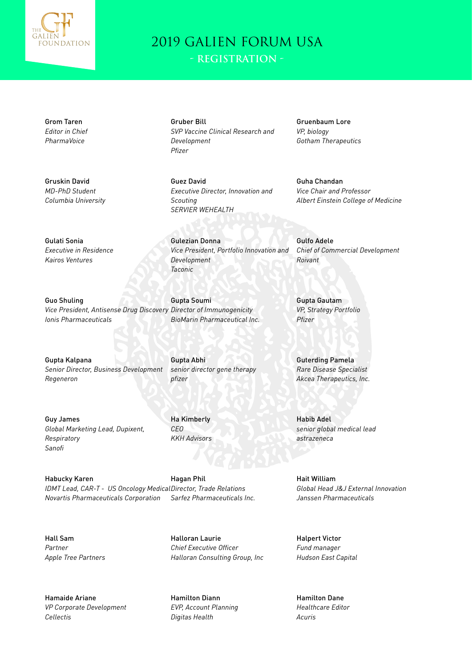

**- Registration -**

*SVP Vaccine Clinical Research and* 

*Executive Director, Innovation and* 

*Vice President, Portfolio Innovation and* 

Gruber Bill

*Development Pfizer*

Guez David

*SERVIER WEHEALTH*

Gulezian Donna

*Development Taconic*

Gupta Soumi

Ha Kimberly *CEO*

*KKH Advisors*

*Scouting*

Grom Taren *Editor in Chief PharmaVoice*

Gruskin David *MD-PhD Student Columbia University*

Gulati Sonia *Executive in Residence Kairos Ventures*

Guo Shuling *Vice President, Antisense Drug Discovery Director of Immunogenicity Ionis Pharmaceuticals*

Gupta Kalpana *Senior Director, Business Development Regeneron*

Gupta Abhi *senior director gene therapy pfizer*

*BioMarin Pharmaceutical Inc.*

Guy James *Global Marketing Lead, Dupixent, Respiratory Sanofi*

Habucky Karen *IDMT Lead, CAR-T - US Oncology Medical Director, Trade Relations Novartis Pharmaceuticals Corporation* Hagan Phil *Sarfez Pharmaceuticals Inc.*

Hall Sam *Partner Apple Tree Partners*

Hamaide Ariane *VP Corporate Development Cellectis*

Halloran Laurie *Chief Executive Officer Halloran Consulting Group, Inc*

Hamilton Diann *EVP, Account Planning Digitas Health*

Gruenbaum Lore *VP, biology Gotham Therapeutics*

Guha Chandan *Vice Chair and Professor Albert Einstein College of Medicine*

Gulfo Adele *Chief of Commercial Development Roivant*

Gupta Gautam *VP, Strategy Portfolio Pfizer*

Guterding Pamela *Rare Disease Specialist Akcea Therapeutics, Inc.*

Habib Adel *senior global medical lead astrazeneca*

Hait William *Global Head J&J External Innovation Janssen Pharmaceuticals*

Halpert Victor *Fund manager Hudson East Capital*

Hamilton Dane *Healthcare Editor Acuris*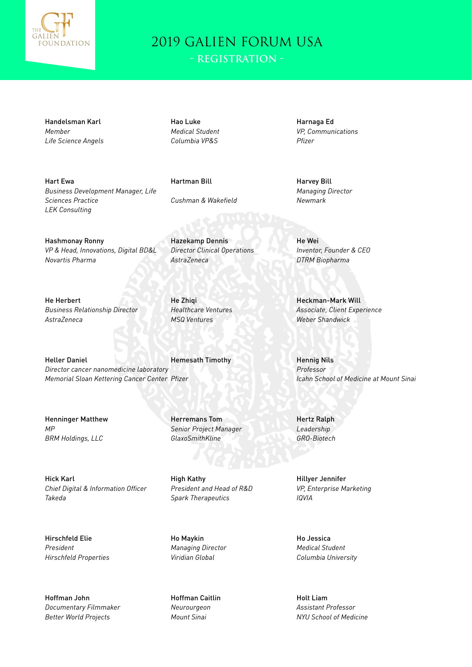

Handelsman Karl *Member Life Science Angels*

Hart Ewa

*Sciences Practice LEK Consulting*

Hao Luke *Medical Student Columbia VP&S*

Hartman Bill *Cushman & Wakefield*

Hazekamp Dennis

*Healthcare Ventures MSQ Ventures*

*AstraZeneca*

He Zhiqi

*Director Clinical Operations*

Hashmonay Ronny *VP & Head, Innovations, Digital BD&L Novartis Pharma*

*Business Development Manager, Life* 

He Herbert *Business Relationship Director AstraZeneca*

Heller Daniel *Director cancer nanomedicine laboratory Memorial Sloan Kettering Cancer Center Pfizer* Hemesath Timothy

Henninger Matthew *MP BRM Holdings, LLC*

Hick Karl *Chief Digital & Information Officer Takeda*

Hirschfeld Elie *President Hirschfeld Properties*

Hoffman John *Documentary Filmmaker Better World Projects*

Herremans Tom *Senior Project Manager GlaxoSmithKline*

High Kathy *President and Head of R&D Spark Therapeutics*

Ho Maykin *Managing Director Viridian Global*

Hoffman Caitlin *Neurourgeon Mount Sinai*

Harnaga Ed *VP, Communications Pfizer*

Harvey Bill *Managing Director Newmark*

He Wei *Inventor, Founder & CEO DTRM Biopharma*

Heckman-Mark Will *Associate, Client Experience Weber Shandwick*

Hennig Nils *Professor Icahn School of Medicine at Mount Sinai*

Hertz Ralph *Leadership GRO-Biotech*

Hillyer Jennifer *VP, Enterprise Marketing IQVIA*

Ho Jessica *Medical Student Columbia University*

Holt Liam *Assistant Professor NYU School of Medicine*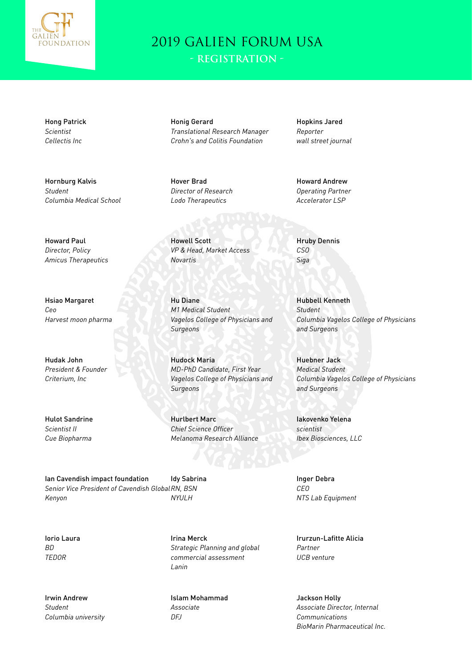

Hong Patrick *Scientist Cellectis Inc*

Hornburg Kalvis *Student Columbia Medical School*

Howard Paul *Director, Policy Amicus Therapeutics*

Hsiao Margaret *Ceo Harvest moon pharma*

Hudak John *President & Founder Criterium, Inc*

Hulot Sandrine *Scientist II Cue Biopharma*

Ian Cavendish impact foundation *Senior Vice President of Cavendish Global RN, BSN Kenyon NYULH*

Iorio Laura *BD TEDOR*

Irwin Andrew *Student Columbia university* Honig Gerard *Translational Research Manager Crohn's and Colitis Foundation*

Hover Brad *Director of Research Lodo Therapeutics*

Howell Scott *VP & Head, Market Access Novartis*

Hu Diane *M1 Medical Student Vagelos College of Physicians and Surgeons*

Hudock Maria *MD-PhD Candidate, First Year Vagelos College of Physicians and Surgeons*

Hurlbert Marc *Chief Science Officer Melanoma Research Alliance*

Idy Sabrina

Irina Merck *Strategic Planning and global commercial assessment Lanin*

Islam Mohammad *Associate DFJ*

Hopkins Jared *Reporter wall street journal*

Howard Andrew *Operating Partner Accelerator LSP*

Hruby Dennis *CSO Siga*

Hubbell Kenneth *Student Columbia Vagelos College of Physicians and Surgeons*

Huebner Jack *Medical Student Columbia Vagelos College of Physicians and Surgeons*

Iakovenko Yelena *scientist Ibex Biosciences, LLC*

Inger Debra *CEO NTS Lab Equipment*

Irurzun-Lafitte Alicia *Partner UCB venture*

Jackson Holly *Associate Director, Internal Communications BioMarin Pharmaceutical Inc.*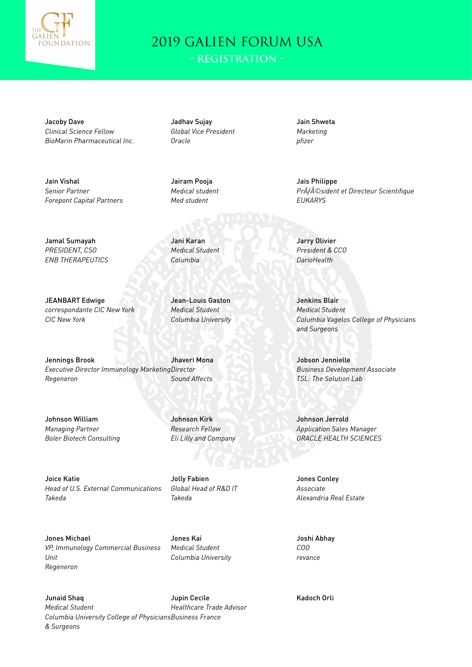

Jacoby Dave *Clinical Science Fellow BioMarin Pharmaceutical Inc.*

Jain Vishal *Senior Partner Forepont Capital Partners*

Jamal Sumayah *PRESIDENT, CSO ENB THERAPEUTICS*

JEANBART Edwige

*CIC New York*

*correspondante CIC New York*

Jadhav Sujay *Global Vice President Oracle*

Jairam Pooja *Medical student Med student*

Jani Karan *Medical Student Columbia*

Jean-Louis Gaston *Medical Student Columbia University*

Jennings Brook *Executive Director Immunology Marketing Director Regeneron* Jhaveri Mona *Sound Affects*

Johnson William *Managing Partner Boler Biotech Consulting*

Johnson Kirk *Research Fellow Eli Lilly and Company*

Joice Katie *Head of U.S. External Communications Takeda*

Jolly Fabien *Global Head of R&D IT Takeda*

Jones Michael *VP, Immunology Commercial Business Unit Regeneron*

Jones Kai *Medical Student Columbia University*

Junaid Shaq *Medical Student Columbia University College of Physicians Business France & Surgeons* Jupin Cecile *Healthcare Trade Advisor*

Jain Shweta *Marketing pfizer*

Jais Philippe *Président et Directeur Scientifique EUKARYS*

Jarry Olivier *President & CCO DarioHealth*

Jenkins Blair *Medical Student Columbia Vagelos College of Physicians and Surgeons*

Jobson Jennielle *Business Development Associate TSL: The Solution Lab*

Johnson Jerrold *Application Sales Manager ORACLE HEALTH SCIENCES*

Jones Conley *Associate Alexandria Real Estate*

Joshi Abhay *COO revance*

Kadoch Orli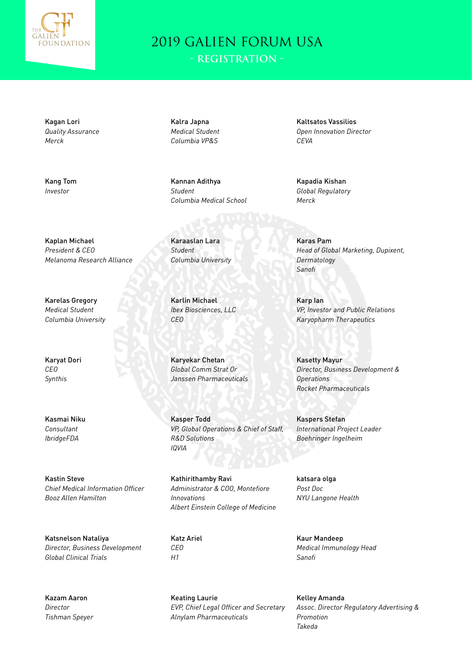

**- Registration -**

Kagan Lori *Quality Assurance Merck*

Kang Tom *Investor*

Kalra Japna *Medical Student Columbia VP&S*

Kannan Adithya *Student Columbia Medical School*

Karaaslan Lara *Student Columbia University*

Karlin Michael *Ibex Biosciences, LLC CEO*

Karyekar Chetan *Global Comm Strat Or Janssen Pharmaceuticals*

Kasper Todd *VP, Global Operations & Chief of Staff, R&D Solutions IQVIA*

Kathirithamby Ravi *Administrator & COO, Montefiore Innovations Albert Einstein College of Medicine*

Katz Ariel *CEO H1*

Keating Laurie *EVP, Chief Legal Officer and Secretary Alnylam Pharmaceuticals*

Kaltsatos Vassilios *Open Innovation Director CEVA*

Kapadia Kishan *Global Regulatory Merck*

Karas Pam *Head of Global Marketing, Dupixent, Dermatology Sanofi*

Karp Ian *VP, Investor and Public Relations Karyopharm Therapeutics*

Kasetty Mayur *Director, Business Development & Operations Rocket Pharmaceuticals*

Kaspers Stefan *International Project Leader Boehringer Ingelheim*

katsara olga *Post Doc NYU Langone Health*

Kaur Mandeep *Medical Immunology Head Sanofi*

Kelley Amanda *Assoc. Director Regulatory Advertising & Promotion Takeda*

Kaplan Michael *President & CEO Melanoma Research Alliance*

Karelas Gregory *Medical Student Columbia University*

Karyat Dori *CEO Synthis*

Kasmai Niku *Consultant IbridgeFDA*

Kastin Steve *Chief Medical Information Officer Booz Allen Hamilton*

Katsnelson Nataliya *Director, Business Development Global Clinical Trials*

Kazam Aaron *Director Tishman Speyer*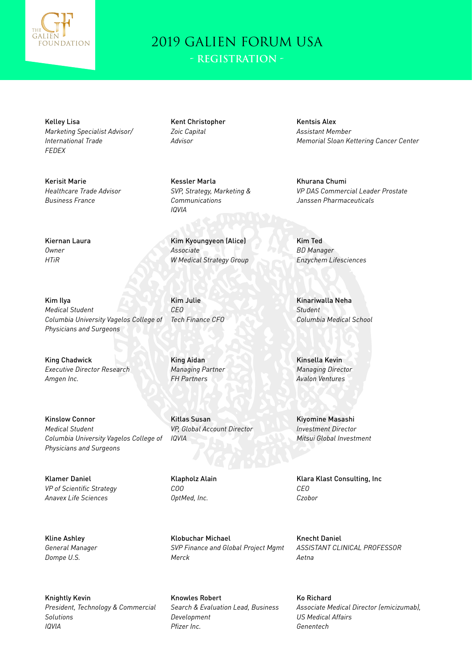

**- Registration -**

Kelley Lisa *Marketing Specialist Advisor/ International Trade FEDEX*

Kerisit Marie *Healthcare Trade Advisor Business France*

Kiernan Laura

*Owner HTiR*

Kim Ilya *Medical Student*

Kent Christopher *Zoic Capital Advisor*

Kessler Marla *SVP, Strategy, Marketing & Communications IQVIA*

Kim Kyoungyeon (Alice) *Associate W Medical Strategy Group*

Kim Julie *CEO Tech Finance CFO*

King Chadwick *Executive Director Research Amgen Inc.*

*Physicians and Surgeons*

Kinslow Connor *Medical Student Columbia University Vagelos College of Physicians and Surgeons*

*Columbia University Vagelos College of* 

Klamer Daniel *VP of Scientific Strategy Anavex Life Sciences*

Kline Ashley *General Manager Dompe U.S.*

Knightly Kevin *President, Technology & Commercial Solutions IQVIA*

King Aidan *Managing Partner FH Partners*

Kitlas Susan *VP, Global Account Director IQVIA*

Klapholz Alain *COO OptMed, Inc.*

Klobuchar Michael *SVP Finance and Global Project Mgmt Merck*

Knowles Robert *Search & Evaluation Lead, Business Development Pfizer Inc.*

Kentsis Alex *Assistant Member Memorial Sloan Kettering Cancer Center*

Khurana Chumi *VP DAS Commercial Leader Prostate Janssen Pharmaceuticals*

Kim Ted *BD Manager Enzychem Lifesciences*

Kinariwalla Neha *Student Columbia Medical School*

Kinsella Kevin *Managing Director Avalon Ventures*

Kiyomine Masashi *Investment Director Mitsui Global Investment*

Klara Klast Consulting, Inc *CEO Czobor*

Knecht Daniel *ASSISTANT CLINICAL PROFESSOR Aetna*

Ko Richard *Associate Medical Director (emicizumab), US Medical Affairs Genentech*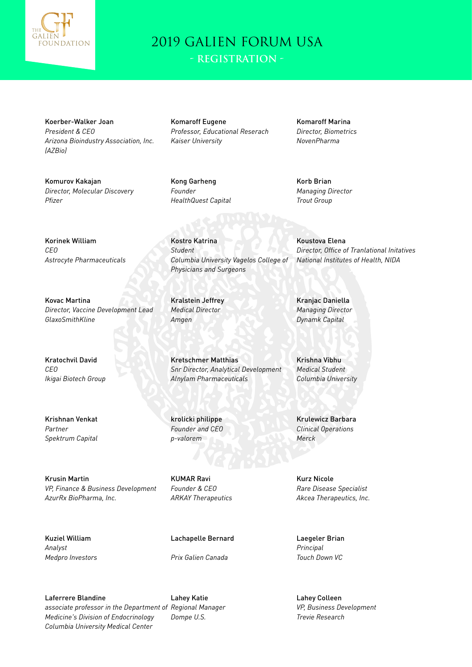

Koerber-Walker Joan *President & CEO Arizona Bioindustry Association, Inc. (AZBio)*

Komurov Kakajan *Director, Molecular Discovery Pfizer*

Komaroff Eugene *Professor, Educational Reserach Kaiser University*

*Columbia University Vagelos College of* 

Kong Garheng *Founder HealthQuest Capital*

Kostro Katrina *Student*

Kralstein Jeffrey *Medical Director*

Kretschmer Matthias

*Alnylam Pharmaceuticals*

*Snr Director, Analytical Development*

*Amgen*

*Physicians and Surgeons*

Komaroff Marina *Director, Biometrics NovenPharma*

Korb Brian *Managing Director Trout Group*

Korinek William *CEO Astrocyte Pharmaceuticals*

Kovac Martina *Director, Vaccine Development Lead GlaxoSmithKline*

Kratochvil David *CEO Ikigai Biotech Group*

Krishnan Venkat *Partner Spektrum Capital*

Krusin Martin *VP, Finance & Business Development AzurRx BioPharma, Inc.*

KUMAR Ravi

krolicki philippe *Founder and CEO p-valorem*

*Founder & CEO ARKAY Therapeutics*

Kuziel William *Analyst Medpro Investors* Lachapelle Bernard

*Prix Galien Canada*

Laferrere Blandine *associate professor in the Department of Regional Manager Medicine's Division of Endocrinology Columbia University Medical Center*

Lahey Katie *Dompe U.S.*

Koustova Elena *Director, Office of Tranlational Initatives National Institutes of Health, NIDA*

Kranjac Daniella *Managing Director Dynamk Capital*

Krishna Vibhu *Medical Student Columbia University*

Krulewicz Barbara *Clinical Operations Merck*

Kurz Nicole *Rare Disease Specialist Akcea Therapeutics, Inc.*

Laegeler Brian *Principal Touch Down VC*

Lahey Colleen *VP, Business Development Trevie Research*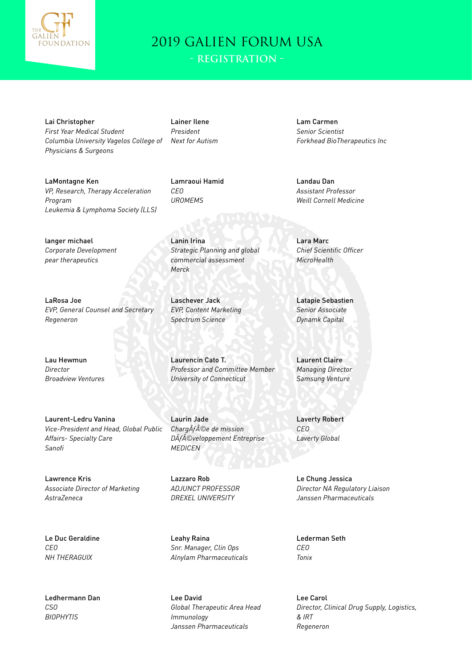

Lai Christopher *First Year Medical Student Columbia University Vagelos College of Physicians & Surgeons*

Lainer Ilene *President Next for Autism*

LaMontagne Ken *VP, Research, Therapy Acceleration Program Leukemia & Lymphoma Society (LLS)*

langer michael *Corporate Development pear therapeutics*

LaRosa Joe *EVP, General Counsel and Secretary Regeneron*

Lau Hewmun *Director Broadview Ventures*

Laurent-Ledru Vanina *Vice-President and Head, Global Public Affairs- Specialty Care Sanofi*

Lawrence Kris *Associate Director of Marketing AstraZeneca*

Le Duc Geraldine *CEO NH THERAGUIX*

Ledhermann Dan *CSO BIOPHYTIS*

Lamraoui Hamid *CEO UROMEMS*

Lanin Irina *Strategic Planning and global commercial assessment Merck*

Laschever Jack *EVP, Content Marketing Spectrum Science*

Laurencin Cato T. *Professor and Committee Member University of Connecticut*

Laurin Jade *ChargÃf©e de mission Développement Entreprise MEDICEN*

Lazzaro Rob *ADJUNCT PROFESSOR DREXEL UNIVERSITY*

Leahy Raina *Snr. Manager, Clin Ops Alnylam Pharmaceuticals*

Lee David *Global Therapeutic Area Head Immunology Janssen Pharmaceuticals*

Lam Carmen *Senior Scientist Forkhead BioTherapeutics Inc*

Landau Dan *Assistant Professor Weill Cornell Medicine*

Lara Marc *Chief Scientific Officer MicroHealth*

Latapie Sebastien *Senior Associate Dynamk Capital*

Laurent Claire *Managing Director Samsung Venture*

Laverty Robert *CEO Laverty Global*

Le Chung Jessica *Director NA Regulatory Liaison Janssen Pharmaceuticals*

Lederman Seth *CEO Tonix*

Lee Carol *Director, Clinical Drug Supply, Logistics, & IRT Regeneron*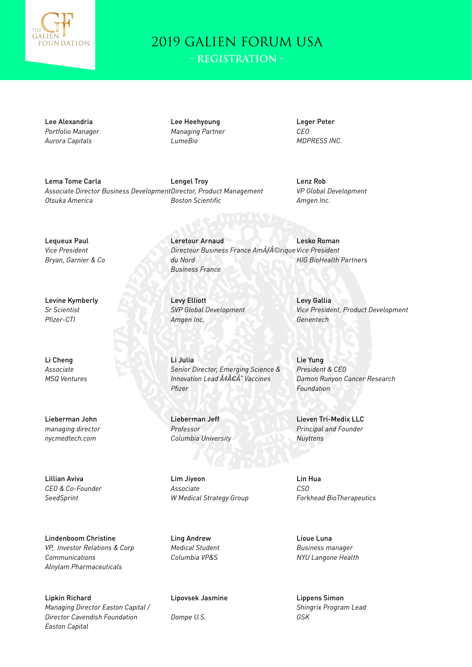

**- Registration -**

Lee Alexandria *Portfolio Manager Aurora Capitals*

Lee Heehyoung *Managing Partner LumeBio*

Leretour Arnaud

*du Nord Business France*

Leger Peter *CEO MDPRESS INC.*

Lema Tome Carla *Associate Director Business Development Director, Product Management Otsuka America*

Lengel Troy *Boston Scientific*

*Directeur Business France Amérique Vice President*

Lenz Rob *VP Global Development Amgen Inc.*

*HIG BioHealth Partners*

Lesko Roman

Lequeux Paul *Vice President Bryan, Garnier & Co*

Levine Kymberly *Sr Scientist Pfizer-CTI*

Li Cheng *Associate MSQ Ventures*

Lieberman John *managing director nycmedtech.com*

Lillian Aviva *CEO & Co-Founder SeedSprint*

Lindenboom Christine *VP, Investor Relations & Corp Communications Alnylam Pharmaceuticals*

Lipkin Richard *Managing Director Easton Capital / Director Cavendish Foundation Easton Capital*

Levy Elliott *SVP Global Development Amgen Inc.*

Li Julia *Senior Director, Emerging Science & Innovation Lead â€Â" Vaccines Pfizer*

Lieberman Jeff *Professor Columbia University*

Lim Jiyeon *Associate W Medical Strategy Group*

Ling Andrew *Medical Student Columbia VP&S*

Lipovsek Jasmine

*Dompe U.S.*

Levy Gallia *Vice President, Product Development Genentech*

Lie Yung *President & CEO Damon Runyon Cancer Research Foundation*

Lieven Tri-Medix LLC *Principal and Founder Nuyttens*

Lin Hua *CSO Forkhead BioTherapeutics*

Lioue Luna *Business manager NYU Langone Health*

Lippens Simon *Shingrix Program Lead GSK*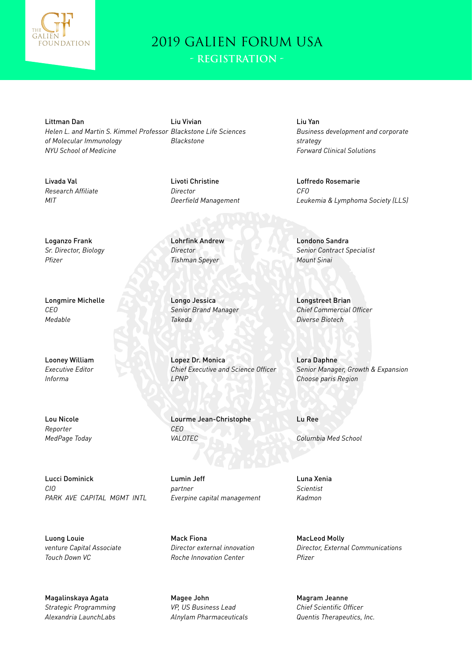

**- Registration -**

Littman Dan *Helen L. and Martin S. Kimmel Professor Blackstone Life Sciences of Molecular Immunology NYU School of Medicine*

Liu Vivian *Blackstone*

Livoti Christine *Director Deerfield Management*

Lohrfink Andrew *Director Tishman Speyer*

Longo Jessica *Senior Brand Manager Takeda*

Lopez Dr. Monica *Chief Executive and Science Officer LPNP*

Lourme Jean-Christophe *CEO VALOTEC*

Lumin Jeff *partner Everpine capital management*

Mack Fiona *Director external innovation Roche Innovation Center*

Magee John *VP, US Business Lead Alnylam Pharmaceuticals*

Liu Yan *Business development and corporate strategy Forward Clinical Solutions*

Loffredo Rosemarie *CFO Leukemia & Lymphoma Society (LLS)*

Londono Sandra *Senior Contract Specialist Mount Sinai*

Longstreet Brian *Chief Commercial Officer Diverse Biotech*

Lora Daphne *Senior Manager, Growth & Expansion Choose paris Region*

Lu Ree

*Columbia Med School*

Luna Xenia *Scientist Kadmon*

MacLeod Molly *Director, External Communications Pfizer*

Magram Jeanne *Chief Scientific Officer Quentis Therapeutics, Inc.*

Livada Val *Research Affiliate MIT*

Loganzo Frank *Sr. Director, Biology Pfizer*

Longmire Michelle *CEO Medable*

Looney William *Executive Editor Informa*

Lou Nicole *Reporter MedPage Today*

Lucci Dominick *CIO PARK AVE CAPITAL MGMT INTL*

Luong Louie *venture Capital Associate Touch Down VC*

Magalinskaya Agata *Strategic Programming Alexandria LaunchLabs*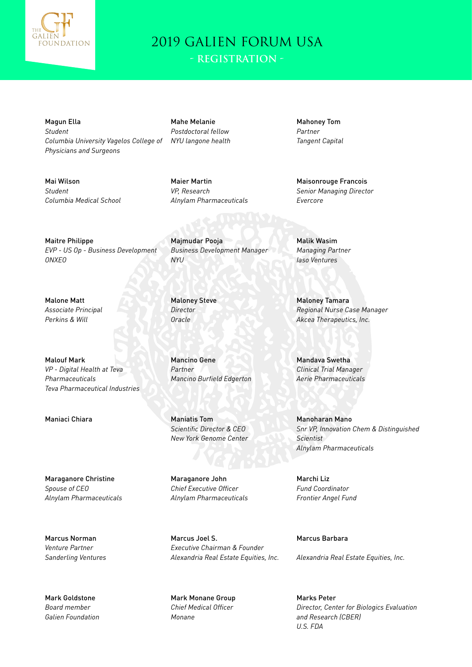

Magun Ella *Student Columbia University Vagelos College of Physicians and Surgeons*

Mai Wilson *Student Columbia Medical School* Mahe Melanie *Postdoctoral fellow NYU langone health*

Maier Martin *VP, Research Alnylam Pharmaceuticals*

Maitre Philippe *EVP - US Op - Business Development ONXEO*

Malone Matt *Associate Principal Perkins & Will*

Malouf Mark *VP - Digital Health at Teva Pharmaceuticals Teva Pharmaceutical Industries*

Maniaci Chiara Maniatis Tom

Maraganore Christine

*Alnylam Pharmaceuticals*

*Spouse of CEO*

Marcus Norman *Venture Partner Sanderling Ventures*

Mark Goldstone *Board member Galien Foundation*

Majmudar Pooja *Business Development Manager NYU*

Maloney Steve *Director Oracle*

Mancino Gene *Partner Mancino Burfield Edgerton*

*Scientific Director & CEO New York Genome Center*

Maraganore John *Chief Executive Officer Alnylam Pharmaceuticals*

Marcus Joel S. *Executive Chairman & Founder Alexandria Real Estate Equities, Inc.*

Mark Monane Group *Chief Medical Officer Monane*

Mahoney Tom *Partner Tangent Capital*

Maisonrouge Francois *Senior Managing Director Evercore*

Malik Wasim *Managing Partner Iaso Ventures*

Maloney Tamara *Regional Nurse Case Manager Akcea Therapeutics, Inc.*

Mandava Swetha *Clinical Trial Manager Aerie Pharmaceuticals*

Manoharan Mano *Snr VP, Innovation Chem & Distinguished Scientist Alnylam Pharmaceuticals*

Marchi Liz *Fund Coordinator Frontier Angel Fund*

Marcus Barbara

*Alexandria Real Estate Equities, Inc.*

Marks Peter *Director, Center for Biologics Evaluation and Research (CBER) U.S. FDA*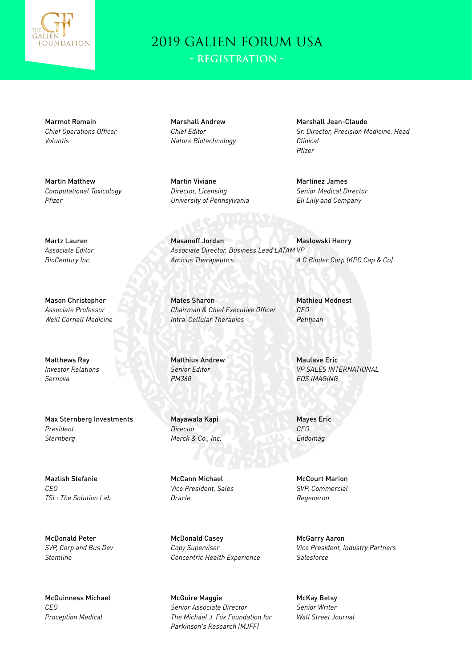

Marmot Romain *Chief Operations Officer Voluntis*

Martin Matthew *Computational Toxicology Pfizer*

Marshall Andrew *Chief Editor Nature Biotechnology*

Martin Viviane *Director, Licensing University of Pennsylvania*

Masanoff Jordan

*Amicus Therapeutics*

*Intra-Cellular Therapies*

Marshall Jean-Claude *Sr. Director, Precision Medicine, Head Clinical Pfizer*

Martinez James *Senior Medical Director Eli Lilly and Company*

Martz Lauren *Associate Editor BioCentury Inc.*

Mason Christopher *Associate Professor Weill Cornell Medicine*

Matthews Ray *Investor Relations Sernova*

Max Sternberg Investments *President Sternberg*

Mazlish Stefanie *CEO TSL: The Solution Lab*

McDonald Peter *SVP, Corp and Bus Dev Stemline*

McGuinness Michael *CEO Proception Medical*

Mates Sharon *Chairman & Chief Executive Officer*

*Associate Director, Business Lead LATAM VP*

Matthius Andrew *Senior Editor PM360*

Mayawala Kapi *Director Merck & Co., Inc.*

McCann Michael *Vice President, Sales Oracle*

McDonald Casey *Copy Superviser Concentric Health Experience*

McGuire Maggie *Senior Associate Director The Michael J. Fox Foundation for Parkinson's Research (MJFF)*

Mathieu Mednest *CEO Petitjean*

Maslowski Henry

*A C Binder Corp (KPG Cap & Co)*

Maulave Eric *VP SALES INTERNATIONAL EOS IMAGING*

Mayes Eric *CEO Endomag*

McCourt Marion *SVP, Commercial Regeneron*

McGarry Aaron *Vice President, Industry Partners Salesforce*

McKay Betsy *Senior Writer Wall Street Journal*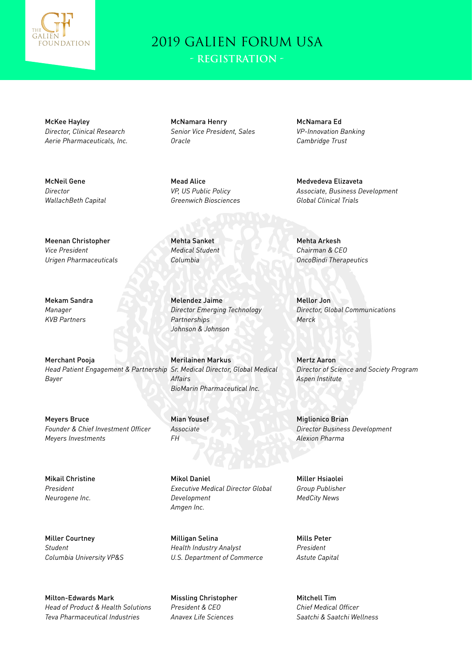

McKee Hayley *Director, Clinical Research Aerie Pharmaceuticals, Inc.*

McNeil Gene *Director WallachBeth Capital*

McNamara Henry *Senior Vice President, Sales Oracle*

Mead Alice *VP, US Public Policy Greenwich Biosciences*

Mehta Sanket *Medical Student Columbia*

Melendez Jaime *Director Emerging Technology Partnerships Johnson & Johnson*

Merilainen Markus *Affairs BioMarin Pharmaceutical Inc.*

Mian Yousef *Associate FH*

Mikol Daniel *Executive Medical Director Global Development Amgen Inc.*

Milligan Selina *Health Industry Analyst U.S. Department of Commerce*

Missling Christopher *President & CEO Anavex Life Sciences*

McNamara Ed *VP-Innovation Banking Cambridge Trust*

Medvedeva Elizaveta *Associate, Business Development Global Clinical Trials*

Mehta Arkesh *Chairman & CEO OncoBindi Therapeutics*

Mellor Jon *Director, Global Communications Merck*

Mertz Aaron *Director of Science and Society Program Aspen Institute*

Miglionico Brian *Director Business Development Alexion Pharma*

Miller Hsiaolei *Group Publisher MedCity News*

Mills Peter *President Astute Capital*

Mitchell Tim *Chief Medical Officer Saatchi & Saatchi Wellness*

Meenan Christopher *Vice President Urigen Pharmaceuticals*

Mekam Sandra *Manager KVB Partners*

Merchant Pooja *Head Patient Engagement & Partnership Sr. Medical Director, Global Medical Bayer*

Meyers Bruce *Founder & Chief Investment Officer Meyers Investments*

Mikail Christine *President Neurogene Inc.*

Miller Courtney *Student Columbia University VP&S*

Milton-Edwards Mark *Head of Product & Health Solutions Teva Pharmaceutical Industries*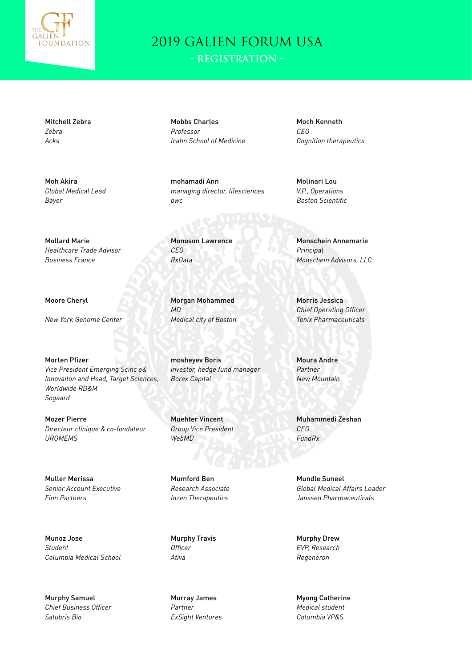

Mitchell Zebra *Zebra Acks*

Moh Akira *Global Medical Lead Bayer*

Mobbs Charles *Professor Icahn School of Medicine*

mohamadi Ann *managing director, lifesciences pwc*

Moch Kenneth *CEO Cognition therapeutics*

Molinari Lou *V.P., Operations Boston Scientific*

Monoson Lawrence *CEO RxData*

Morgan Mohammed *MD Medical city of Boston*

mosheyev Boris *investor, hedge fund manager Borex Capital*

Muehter Vincent *Group Vice President WebMD*

Mumford Ben *Research Associate Inzen Therapeutics*

Murphy Travis *Officer Ativa*

Murray James *Partner ExSight Ventures* Monschein Annemarie *Principal Monschein Advisors, LLC*

Morris Jessica *Chief Operating Officer Tonix Pharmaceuticals*

Moura Andre *Partner New Mountain*

Muhammedi Zeshan *CEO FundRx*

Mundle Suneel *Global Medical Affairs Leader Janssen Pharmaceuticals*

Murphy Drew *EVP, Research Regeneron*

Myong Catherine *Medical student Columbia VP&S*

*Business France*

Mollard Marie

Moore Cheryl

*New York Genome Center*

*Healthcare Trade Advisor*

Morten Pfizer *Vice President Emerging Scinc e& Innovaiton and Head, Target Sciences, Worldwide RD&M Sogaard*

Mozer Pierre *Directeur clinique & co-fondateur UROMEMS*

Muller Merissa *Senior Account Executive Finn Partners*

Munoz Jose *Student Columbia Medical School*

Murphy Samuel *Chief Business Officer Salubris Bio*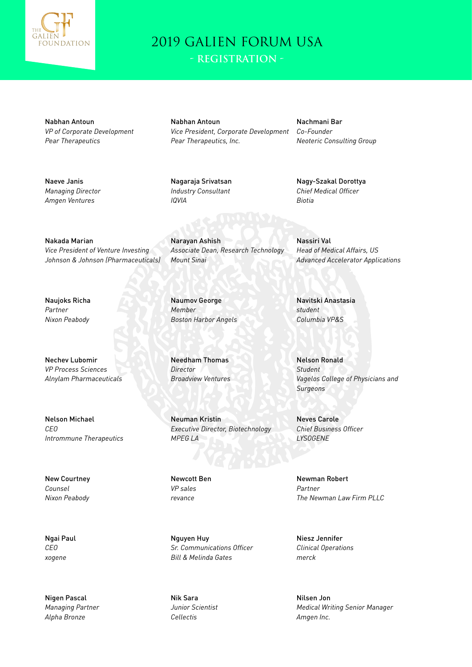

**- Registration -**

Nabhan Antoun *VP of Corporate Development Pear Therapeutics*

Naeve Janis *Managing Director Amgen Ventures*

Nabhan Antoun *Vice President, Corporate Development Pear Therapeutics, Inc.*

Nagaraja Srivatsan *Industry Consultant IQVIA*

Nachmani Bar *Co-Founder Neoteric Consulting Group*

Nagy-Szakal Dorottya *Chief Medical Officer Biotia*

Nakada Marian *Vice President of Venture Investing Johnson & Johnson (Pharmaceuticals)*

Naujoks Richa *Partner Nixon Peabody*

Nechev Lubomir *VP Process Sciences Alnylam Pharmaceuticals*

Nelson Michael *CEO Intrommune Therapeutics*

New Courtney *Counsel Nixon Peabody*

Ngai Paul *CEO xogene*

Nigen Pascal *Managing Partner Alpha Bronze*

Narayan Ashish *Associate Dean, Research Technology Mount Sinai*

Naumov George *Member Boston Harbor Angels*

Needham Thomas *Director Broadview Ventures*

Neuman Kristin *Executive Director, Biotechnology MPEG LA*

Newcott Ben *VP sales revance*

Nguyen Huy *Sr. Communications Officer Bill & Melinda Gates*

Nik Sara *Junior Scientist Cellectis*

Nassiri Val *Head of Medical Affairs, US Advanced Accelerator Applications*

Navitski Anastasia *student Columbia VP&S*

Nelson Ronald *Student Vagelos College of Physicians and Surgeons*

Neves Carole *Chief Business Officer LYSOGENE*

Newman Robert *Partner The Newman Law Firm PLLC*

Niesz Jennifer *Clinical Operations merck*

Nilsen Jon *Medical Writing Senior Manager Amgen Inc.*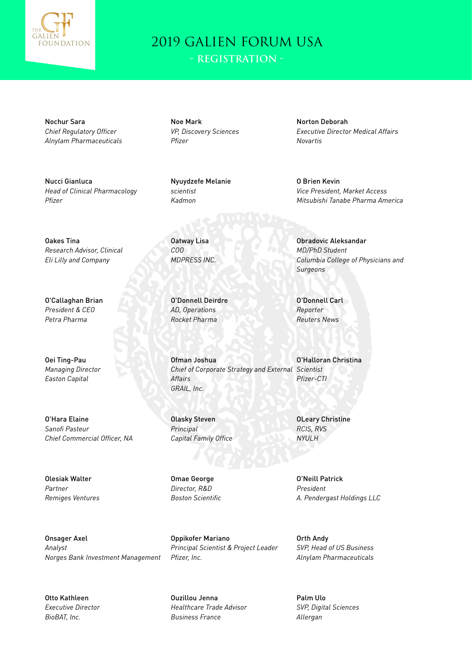

Nochur Sara *Chief Regulatory Officer Alnylam Pharmaceuticals*

Nucci Gianluca *Head of Clinical Pharmacology Pfizer*

Oakes Tina *Research Advisor, Clinical Eli Lilly and Company*

O'Callaghan Brian *President & CEO Petra Pharma*

Oei Ting-Pau *Managing Director Easton Capital*

O'Hara Elaine *Sanofi Pasteur Chief Commercial Officer, NA*

Olesiak Walter *Partner Remiges Ventures*

Onsager Axel *Analyst Norges Bank Investment Management*

Otto Kathleen *Executive Director BioBAT, Inc.*

Noe Mark *VP, Discovery Sciences Pfizer*

Nyuydzefe Melanie *scientist Kadmon*

Oatway Lisa *COO MDPRESS INC.*

O'Donnell Deirdre *AD, Operations Rocket Pharma*

Ofman Joshua *Chief of Corporate Strategy and External Scientist Affairs GRAIL, Inc.*

Olasky Steven *Principal Capital Family Office*

Omae George *Director, R&D Boston Scientific*

Oppikofer Mariano *Principal Scientist & Project Leader Pfizer, Inc.*

Ouzillou Jenna *Healthcare Trade Advisor Business France*

Norton Deborah *Executive Director Medical Affairs Novartis*

O Brien Kevin *Vice President, Market Access Mitsubishi Tanabe Pharma America*

Obradovic Aleksandar *MD/PhD Student Columbia College of Physicians and Surgeons*

O'Donnell Carl *Reporter Reuters News*

O'Halloran Christina *Pfizer-CTI*

OLeary Christine *RCIS, RVS NYULH*

O'Neill Patrick *President A. Pendergast Holdings LLC*

Orth Andy *SVP, Head of US Business Alnylam Pharmaceuticals*

Palm Ulo *SVP, Digital Sciences Allergan*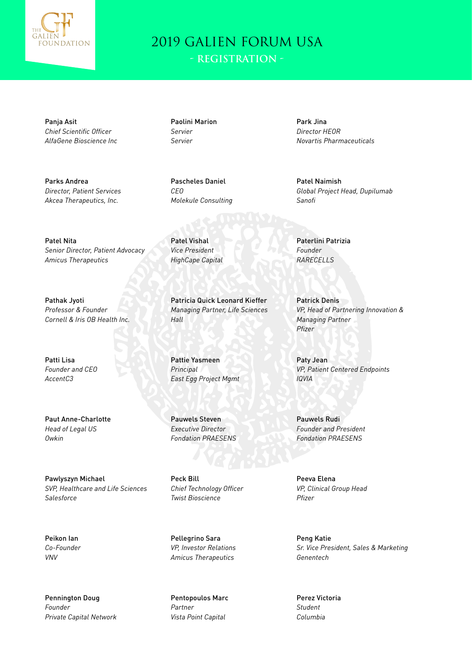

**- Registration -**

Panja Asit *Chief Scientific Officer AlfaGene Bioscience Inc*

Parks Andrea *Director, Patient Services Akcea Therapeutics, Inc.*

Patel Nita *Senior Director, Patient Advocacy Amicus Therapeutics*

Pathak Jyoti *Professor & Founder Cornell & Iris OB Health Inc.*

Patti Lisa *Founder and CEO AccentC3*

Paut Anne-Charlotte *Head of Legal US Owkin*

Pawlyszyn Michael *SVP, Healthcare and Life Sciences Salesforce*

Peikon Ian *Co-Founder VNV*

Pennington Doug *Founder Private Capital Network*

Paolini Marion *Servier Servier*

Pascheles Daniel *CEO Molekule Consulting*

Patel Vishal *Vice President HighCape Capital*

Patricia Quick Leonard Kieffer *Managing Partner, Life Sciences Hall*

Pattie Yasmeen *Principal East Egg Project Mgmt*

Pauwels Steven *Executive Director Fondation PRAESENS*

Peck Bill *Chief Technology Officer Twist Bioscience*

Pellegrino Sara *VP, Investor Relations Amicus Therapeutics*

Pentopoulos Marc *Partner Vista Point Capital*

Park Jina *Director HEOR Novartis Pharmaceuticals*

Patel Naimish *Global Project Head, Dupilumab Sanofi*

Paterlini Patrizia *Founder RARECELLS*

Patrick Denis *VP, Head of Partnering Innovation & Managing Partner Pfizer*

Paty Jean *VP, Patient Centered Endpoints IQVIA*

Pauwels Rudi *Founder and President Fondation PRAESENS*

Peeva Elena *VP, Clinical Group Head Pfizer*

Peng Katie *Sr. Vice President, Sales & Marketing Genentech*

Perez Victoria *Student Columbia*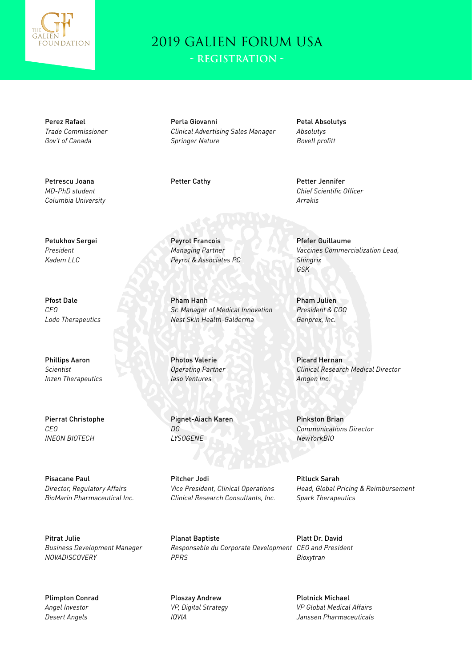

**- Registration -**

Perez Rafael *Trade Commissioner Gov't of Canada*

Petrescu Joana *MD-PhD student Columbia University*

Perla Giovanni *Clinical Advertising Sales Manager Springer Nature*

Petal Absolutys *Absolutys Bovell profitt*

Petter Cathy **Petter Jennifer** *Chief Scientific Officer Arrakis*

Petukhov Sergei *President Kadem LLC*

Pfost Dale *CEO Lodo Therapeutics*

Phillips Aaron *Scientist Inzen Therapeutics*

Pierrat Christophe *CEO INEON BIOTECH*

Pisacane Paul *Director, Regulatory Affairs BioMarin Pharmaceutical Inc.*

Pitrat Julie *Business Development Manager NOVADISCOVERY*

Plimpton Conrad *Angel Investor Desert Angels*

Peyrot Francois *Managing Partner Peyrot & Associates PC*

Pham Hanh *Sr. Manager of Medical Innovation Nest Skin Health-Galderma*

Photos Valerie *Operating Partner Iaso Ventures*

Pignet-Aiach Karen *DG LYSOGENE*

Pitcher Jodi *Vice President, Clinical Operations Clinical Research Consultants, Inc.*

Planat Baptiste *Responsable du Corporate Development CEO and President PPRS*

Ploszay Andrew *VP, Digital Strategy IQVIA*

Pfefer Guillaume *Vaccines Commercialization Lead, Shingrix GSK*

Pham Julien *President & COO Genprex, Inc.*

Picard Hernan *Clinical Research Medical Director Amgen Inc.*

Pinkston Brian *Communications Director NewYorkBIO*

Pitluck Sarah *Head, Global Pricing & Reimbursement Spark Therapeutics*

Platt Dr. David *Bioxytran*

> Plotnick Michael *VP Global Medical Affairs Janssen Pharmaceuticals*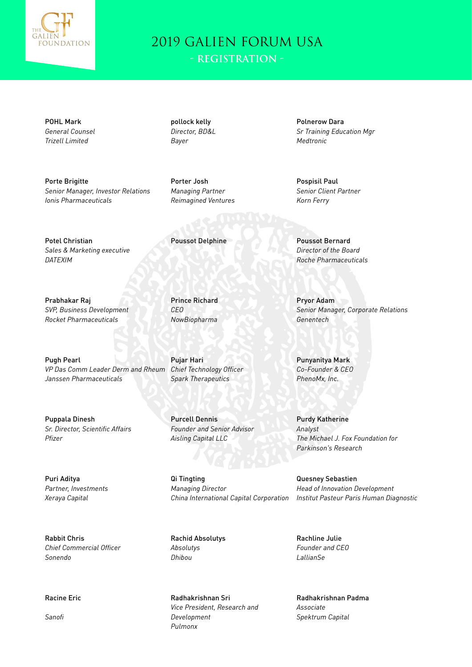

**- Registration -**

POHL Mark *General Counsel Trizell Limited*

*Director, BD&L Bayer*

pollock kelly

Porte Brigitte *Senior Manager, Investor Relations Ionis Pharmaceuticals*

Porter Josh *Managing Partner Reimagined Ventures*

Potel Christian *Sales & Marketing executive DATEXIM*

Prabhakar Raj *SVP, Business Development Rocket Pharmaceuticals*

Pugh Pearl *VP Das Comm Leader Derm and Rheum Janssen Pharmaceuticals*

Puppala Dinesh *Sr. Director, Scientific Affairs Pfizer*

Puri Aditya *Partner, Investments Xeraya Capital*

Rabbit Chris *Chief Commercial Officer Sonendo*

Racine Eric

*Sanofi*

Prince Richard *CEO NowBiopharma*

Pujar Hari *Chief Technology Officer Spark Therapeutics*

Purcell Dennis *Founder and Senior Advisor Aisling Capital LLC*

Qi Tingting *Managing Director China International Capital Corporation*

Rachid Absolutys *Absolutys Dhibou*

Radhakrishnan Sri *Vice President, Research and Development Pulmonx*

Polnerow Dara *Sr Training Education Mgr Medtronic*

Pospisil Paul *Senior Client Partner Korn Ferry*

Poussot Delphine Poussot Bernard *Director of the Board Roche Pharmaceuticals*

> Pryor Adam *Senior Manager, Corporate Relations Genentech*

Punyanitya Mark *Co-Founder & CEO PhenoMx, Inc.*

Purdy Katherine *Analyst The Michael J. Fox Foundation for Parkinson's Research*

Quesney Sebastien *Head of Innovation Development Institut Pasteur Paris Human Diagnostic*

Rachline Julie *Founder and CEO LallianSe*

Radhakrishnan Padma *Associate Spektrum Capital*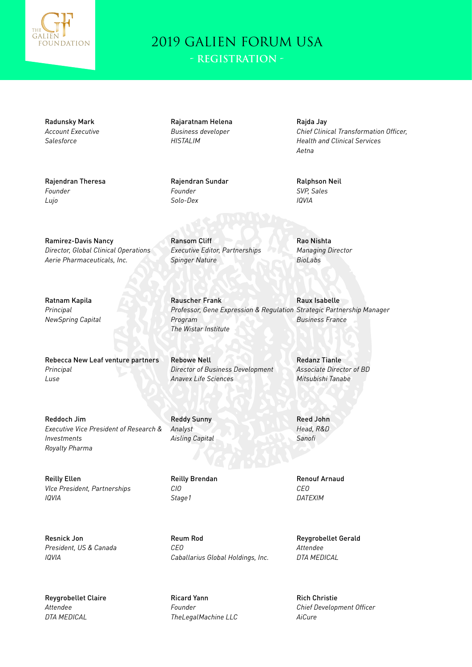

Radunsky Mark *Account Executive Salesforce*

Rajendran Theresa *Founder Lujo*

Rajaratnam Helena *Business developer HISTALIM*

Rajendran Sundar *Founder Solo-Dex*

Ransom Cliff

*Spinger Nature*

Rauscher Frank

Rajda Jay *Chief Clinical Transformation Officer, Health and Clinical Services Aetna*

Ralphson Neil *SVP, Sales IQVIA*

Ramirez-Davis Nancy *Director, Global Clinical Operations Aerie Pharmaceuticals, Inc.*

Ratnam Kapila *Principal NewSpring Capital*

Rebecca New Leaf venture partners *Principal Luse*

Reddoch Jim *Executive Vice President of Research & Investments Royalty Pharma*

Reilly Ellen *VIce President, Partnerships IQVIA*

Resnick Jon *President, US & Canada IQVIA*

Reygrobellet Claire *Attendee DTA MEDICAL*

*Program The Wistar Institute*

*Executive Editor, Partnerships*

Rebowe Nell *Director of Business Development Anavex Life Sciences*

Reddy Sunny *Analyst Aisling Capital*

Reilly Brendan *CIO Stage1*

Reum Rod *CEO Caballarius Global Holdings, Inc.*

Ricard Yann *Founder TheLegalMachine LLC* Rao Nishta *Managing Director BioLabs*

*Professor, Gene Expression & Regulation Strategic Partnership Manager* Raux Isabelle *Business France*

> Redanz Tianle *Associate Director of BD Mitsubishi Tanabe*

Reed John *Head, R&D Sanofi*

Renouf Arnaud *CEO DATEXIM*

Reygrobellet Gerald *Attendee DTA MEDICAL*

Rich Christie *Chief Development Officer AiCure*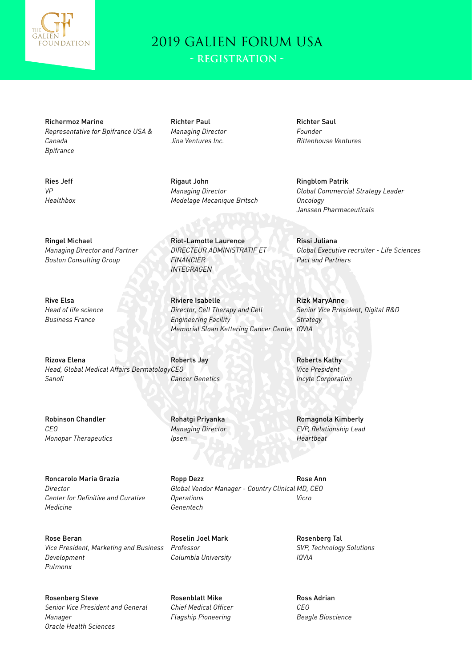

Ries Jeff *VP*

*Healthbox*

Rive Elsa

*Head of life science Business France*

#### 2019 GALIEN FORUM USA **- Registration -**

Richermoz Marine *Representative for Bpifrance USA & Canada Bpifrance*

Richter Paul *Managing Director Jina Ventures Inc.*

Rigaut John *Managing Director Modelage Mecanique Britsch*

Riot-Lamotte Laurence *DIRECTEUR ADMINISTRATIF ET*  Richter Saul *Founder Rittenhouse Ventures*

Rissi Juliana

*Pact and Partners*

Ringblom Patrik *Global Commercial Strategy Leader Oncology Janssen Pharmaceuticals*

*Global Executive recruiter - Life Sciences*

Ringel Michael *Managing Director and Partner Boston Consulting Group*

*INTEGRAGEN*

*FINANCIER*

Riviere Isabelle *Director, Cell Therapy and Cell Engineering Facility Memorial Sloan Kettering Cancer Center IQVIA*

Rizova Elena *Head, Global Medical Affairs Dermatology CEO Sanofi* Roberts Jay *Cancer Genetics*

Robinson Chandler *CEO Monopar Therapeutics*

Rohatgi Priyanka *Managing Director Ipsen*

Roncarolo Maria Grazia *Director Center for Definitive and Curative Medicine*

Rose Beran *Vice President, Marketing and Business Development Pulmonx*

Rosenberg Steve *Senior Vice President and General Manager Oracle Health Sciences*

Ropp Dezz *Global Vendor Manager - Country Clinical MD, CEO Operations Genentech* Rose Ann *Vicro*

Roselin Joel Mark *Professor Columbia University*

Rosenblatt Mike *Chief Medical Officer Flagship Pioneering*

Rizk MaryAnne *Senior Vice President, Digital R&D Strategy*

Roberts Kathy *Vice President Incyte Corporation*

Romagnola Kimberly *EVP, Relationship Lead Heartbeat*

Rosenberg Tal *SVP, Technology Solutions IQVIA*

Ross Adrian *CEO Beagle Bioscience*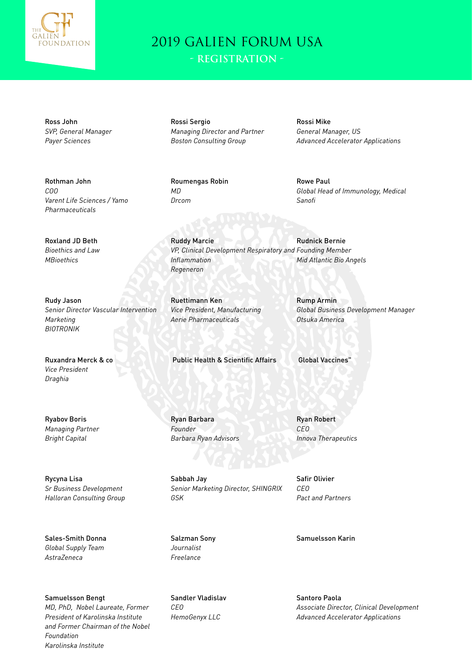

**- Registration -**

Ross John *SVP, General Manager Payer Sciences*

Rothman John *COO Varent Life Sciences / Yamo Pharmaceuticals*

Roxland JD Beth *Bioethics and Law MBioethics*

Rudy Jason *Senior Director Vascular Intervention Marketing BIOTRONIK*

Ruxandra Merck & co *Vice President Draghia*

Ryabov Boris *Managing Partner Bright Capital*

Rycyna Lisa *Sr Business Development Halloran Consulting Group*

Sales-Smith Donna *Global Supply Team AstraZeneca*

Samuelsson Bengt *MD, PhD, Nobel Laureate, Former President of Karolinska Institute and Former Chairman of the Nobel Foundation Karolinska Institute*

Rossi Sergio *Managing Director and Partner Boston Consulting Group*

Roumengas Robin *MD Drcom*

Rossi Mike *General Manager, US Advanced Accelerator Applications*

Rowe Paul *Global Head of Immunology, Medical Sanofi*

Ruddy Marcie *VP, Clinical Development Respiratory and Founding Member Inflammation Regeneron* Rudnick Bernie *Mid Atlantic Bio Angels*

Ruettimann Ken *Vice President, Manufacturing Aerie Pharmaceuticals*

Public Health & Scientific Affairs Global Vaccines"

Ryan Barbara *Founder Barbara Ryan Advisors*

Sabbah Jay *Senior Marketing Director, SHINGRIX GSK*

Salzman Sony *Journalist Freelance*

Sandler Vladislav *CEO HemoGenyx LLC*

Rump Armin *Global Business Development Manager Otsuka America*

Ryan Robert *CEO Innova Therapeutics*

Safir Olivier *CEO Pact and Partners*

Samuelsson Karin

Santoro Paola *Associate Director, Clinical Development Advanced Accelerator Applications*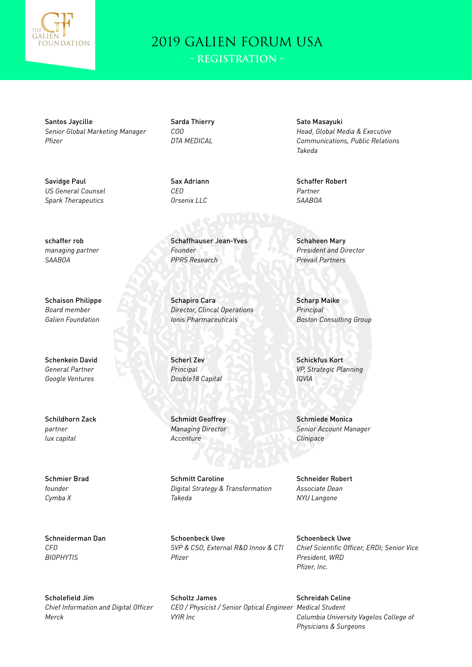

**- Registration -**

Santos Jaycille *Senior Global Marketing Manager Pfizer*

Savidge Paul *US General Counsel Spark Therapeutics*

Sarda Thierry *COO DTA MEDICAL*

Sax Adriann *CEO Orsenix LLC*

Schaffhauser Jean-Yves *Founder PPRS Research*

Schapiro Cara *Director, Clincal Operations Ionis Pharmaceuticals*

Scherl Zev *Principal Double18 Capital*

Schmidt Geoffrey *Managing Director Accenture*

Schmitt Caroline *Digital Strategy & Transformation Takeda*

Schoenbeck Uwe *SVP & CSO, External R&D Innov & CTI Pfizer*

Scholtz James *CEO / Physicist / Senior Optical Engineer Medical Student VYIR Inc*

Sato Masayuki *Head, Global Media & Executive Communications, Public Relations Takeda*

Schaffer Robert *Partner SAABOA*

Schaheen Mary *President and Director Prevail Partners*

Scharp Maike *Principal Boston Consulting Group*

Schickfus Kort *VP, Strategic Planning IQVIA*

Schmiede Monica *Senior Account Manager Clinipace*

Schneider Robert *Associate Dean NYU Langone*

Schoenbeck Uwe *Chief Scientific Officer, ERDI; Senior Vice President, WRD Pfizer, Inc.*

Schreidah Celine *Columbia University Vagelos College of Physicians & Surgeons*

schaffer rob *managing partner SAABOA*

Schaison Philippe *Board member Galien Foundation*

Schenkein David *General Partner Google Ventures*

Schildhorn Zack *partner lux capital*

Schmier Brad *founder Cymba X*

Schneiderman Dan *CFO BIOPHYTIS*

Scholefield Jim *Chief Information and Digital Officer Merck*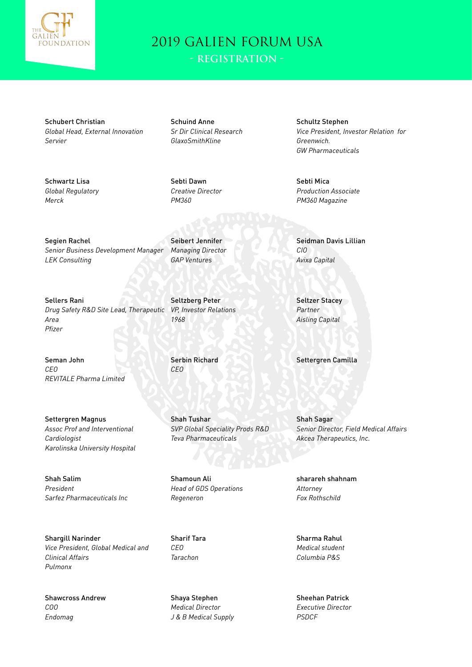

Schubert Christian *Global Head, External Innovation Servier*

Schwartz Lisa *Global Regulatory Merck*

Schuind Anne *Sr Dir Clinical Research GlaxoSmithKline*

Sebti Dawn *Creative Director PM360*

Seibert Jennifer *Managing Director GAP Ventures*

Segien Rachel *Senior Business Development Manager LEK Consulting*

Sellers Rani *Drug Safety R&D Site Lead, Therapeutic Area Pfizer*

Seman John *CEO REVITALE Pharma Limited*

Settergren Magnus *Assoc Prof and Interventional Cardiologist Karolinska University Hospital*

Shah Salim *President Sarfez Pharmaceuticals Inc*

Shargill Narinder *Vice President, Global Medical and Clinical Affairs Pulmonx*

Shawcross Andrew *COO Endomag*

Seltzberg Peter *VP, Investor Relations 1968*

Serbin Richard *CEO*

Shah Tushar *SVP Global Speciality Prods R&D Teva Pharmaceuticals*

Shamoun Ali *Head of GDS Operations Regeneron*

Sharif Tara *CEO Tarachon*

Shaya Stephen *Medical Director J & B Medical Supply* Schultz Stephen *Vice President, Investor Relation for Greenwich. GW Pharmaceuticals*

Sebti Mica *Production Associate PM360 Magazine*

Seidman Davis Lillian *CIO Avixa Capital*

Seltzer Stacey *Partner Aisling Capital*

Settergren Camilla

Shah Sagar *Senior Director, Field Medical Affairs Akcea Therapeutics, Inc.*

sharareh shahnam *Attorney Fox Rothschild*

Sharma Rahul *Medical student Columbia P&S*

Sheehan Patrick *Executive Director PSDCF*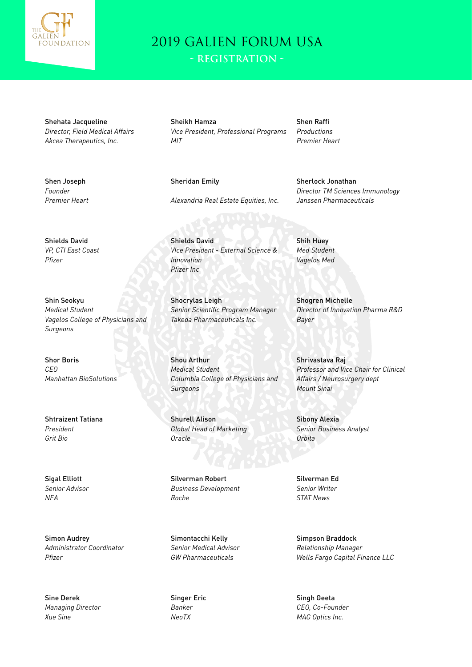

**- Registration -**

Shehata Jacqueline *Director, Field Medical Affairs Akcea Therapeutics, Inc.*

Sheikh Hamza *Vice President, Professional Programs MIT*

Shen Raffi *Productions*

Shen Joseph *Founder Premier Heart* Sheridan Emily

*Alexandria Real Estate Equities, Inc.*

Shields David *VIce President - External Science & Innovation Pfizer Inc*

Shocrylas Leigh *Senior Scientific Program Manager Takeda Pharmaceuticals Inc.*

Shou Arthur *Medical Student Columbia College of Physicians and Surgeons*

Shurell Alison *Global Head of Marketing Oracle*

Silverman Robert *Business Development Roche*

Simontacchi Kelly *Senior Medical Advisor GW Pharmaceuticals*

Singer Eric *Banker NeoTX*

*Premier Heart*

Sherlock Jonathan *Director TM Sciences Immunology Janssen Pharmaceuticals*

Shih Huey *Med Student Vagelos Med*

Shogren Michelle *Director of Innovation Pharma R&D Bayer*

Shrivastava Raj *Professor and Vice Chair for Clinical Affairs / Neurosurgery dept Mount Sinai*

Sibony Alexia *Senior Business Analyst Orbita*

Silverman Ed *Senior Writer STAT News*

Simpson Braddock *Relationship Manager Wells Fargo Capital Finance LLC*

Singh Geeta *CEO, Co-Founder MAG Optics Inc.*

Shields David

*VP, CTI East Coast Pfizer*

Shin Seokyu *Medical Student Vagelos College of Physicians and Surgeons*

Shor Boris *CEO Manhattan BioSolutions*

Shtraizent Tatiana *President Grit Bio*

Sigal Elliott *Senior Advisor NEA*

Simon Audrey *Administrator Coordinator Pfizer*

Sine Derek *Managing Director Xue Sine*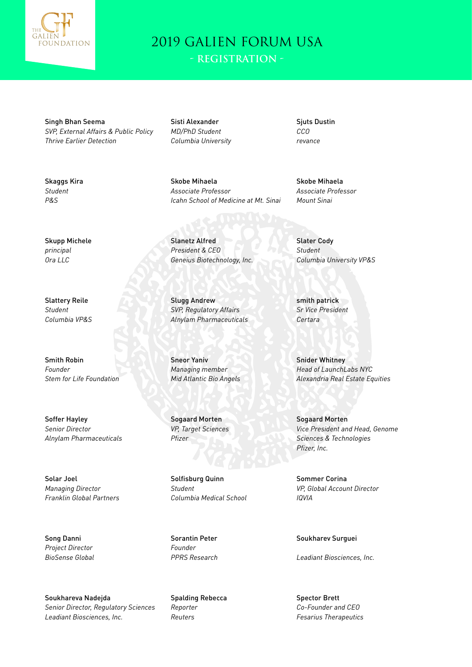

Singh Bhan Seema *SVP, External Affairs & Public Policy Thrive Earlier Detection*

Sisti Alexander *MD/PhD Student Columbia University*

Sjuts Dustin *CCO revance*

Skobe Mihaela *Associate Professor Icahn School of Medicine at Mt. Sinai*

Slanetz Alfred *President & CEO Geneius Biotechnology, Inc.*

Slugg Andrew *SVP, Regulatory Affairs Alnylam Pharmaceuticals*

Sneor Yaniv *Managing member Mid Atlantic Bio Angels*

Sogaard Morten *VP, Target Sciences Pfizer*

Solfisburg Quinn *Student Columbia Medical School*

Sorantin Peter *Founder PPRS Research*

Spalding Rebecca *Reporter Reuters*

Skobe Mihaela *Associate Professor Mount Sinai*

Slater Cody *Student Columbia University VP&S*

smith patrick *Sr Vice President Certara*

Snider Whitney *Head of LaunchLabs NYC Alexandria Real Estate Equities*

Sogaard Morten *Vice President and Head, Genome Sciences & Technologies Pfizer, Inc.*

Sommer Corina *VP, Global Account Director IQVIA*

Soukharev Surguei

*Leadiant Biosciences, Inc.*

Spector Brett *Co-Founder and CEO Fesarius Therapeutics*

*Student P&S*

Skaggs Kira

Skupp Michele *principal Ora LLC*

Slattery Reile *Student Columbia VP&S*

Smith Robin *Founder Stem for Life Foundation*

Soffer Hayley *Senior Director Alnylam Pharmaceuticals*

Solar Joel *Managing Director Franklin Global Partners*

Song Danni *Project Director BioSense Global*

Soukhareva Nadejda *Senior Director, Regulatory Sciences Leadiant Biosciences, Inc.*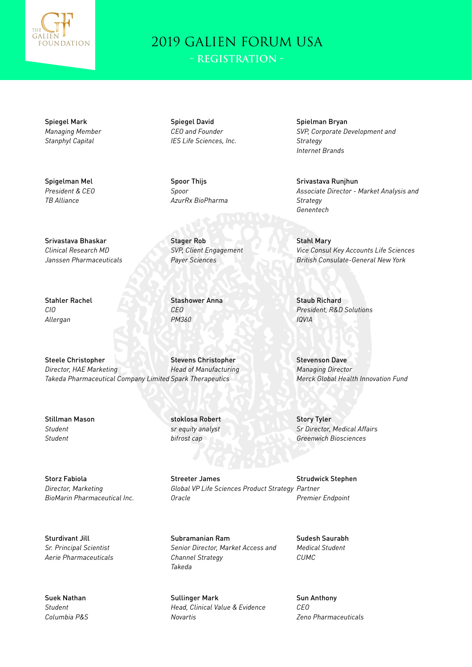

**- Registration -**

Spiegel Mark *Managing Member Stanphyl Capital*

Spigelman Mel *President & CEO TB Alliance*

Srivastava Bhaskar *Clinical Research MD Janssen Pharmaceuticals*

Spiegel David *CEO and Founder IES Life Sciences, Inc.*

Spoor Thijs *Spoor AzurRx BioPharma*

Stager Rob *SVP, Client Engagement Payer Sciences*

Stahler Rachel *CIO Allergan*

Stashower Anna *CEO PM360*

stoklosa Robert

Steele Christopher *Director, HAE Marketing Takeda Pharmaceutical Company Limited Spark Therapeutics* Stevens Christopher *Head of Manufacturing*

Stillman Mason *Student Student*

*sr equity analyst bifrost cap*

> Streeter James *Global VP Life Sciences Product Strategy Partner Oracle*

Subramanian Ram *Senior Director, Market Access and Channel Strategy Takeda*

Sullinger Mark *Head, Clinical Value & Evidence Novartis*

Spielman Bryan *SVP, Corporate Development and Strategy Internet Brands*

Srivastava Runjhun *Associate Director - Market Analysis and Strategy Genentech*

Stahl Mary *Vice Consul Key Accounts Life Sciences British Consulate-General New York*

Staub Richard *President, R&D Solutions IQVIA*

Stevenson Dave *Managing Director Merck Global Health Innovation Fund*

Story Tyler *Sr Director, Medical Affairs Greenwich Biosciences*

Strudwick Stephen *Premier Endpoint*

Sudesh Saurabh *Medical Student CUMC*

Sun Anthony *CEO Zeno Pharmaceuticals*

Storz Fabiola *Director, Marketing BioMarin Pharmaceutical Inc.*

Sturdivant Jill *Sr. Principal Scientist Aerie Pharmaceuticals*

Suek Nathan *Student Columbia P&S*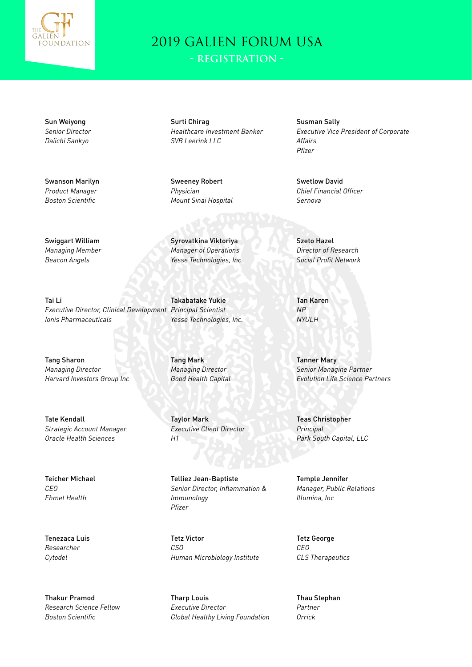

**- Registration -**

Sun Weiyong *Senior Director Daiichi Sankyo*

Swanson Marilyn *Product Manager Boston Scientific*

Surti Chirag *Healthcare Investment Banker SVB Leerink LLC*

Sweeney Robert *Physician Mount Sinai Hospital*

Syrovatkina Viktoriya *Manager of Operations Yesse Technologies, Inc*

Takabatake Yukie *Yesse Technologies, Inc.*

Tang Mark *Managing Director Good Health Capital*

Taylor Mark *Executive Client Director H1*

Telliez Jean-Baptiste *Senior Director, Inflammation & Immunology Pfizer*

Tetz Victor *CSO Human Microbiology Institute*

Tharp Louis *Executive Director Global Healthy Living Foundation*

Susman Sally *Executive Vice President of Corporate Affairs Pfizer*

Swetlow David *Chief Financial Officer Sernova*

Szeto Hazel *Director of Research Social Profit Network*

Tan Karen *NP NYULH*

Tanner Mary *Senior Managine Partner Evolution Life Science Partners*

Teas Christopher *Principal Park South Capital, LLC*

Temple Jennifer *Manager, Public Relations Illumina, Inc*

Tetz George *CEO CLS Therapeutics*

Thau Stephan *Partner Orrick*

Swiggart William *Managing Member Beacon Angels*

Tai Li *Executive Director, Clinical Development Principal Scientist Ionis Pharmaceuticals*

Tang Sharon *Managing Director Harvard Investors Group Inc*

Tate Kendall *Strategic Account Manager Oracle Health Sciences*

Teicher Michael *CEO Ehmet Health*

Tenezaca Luis *Researcher Cytodel*

Thakur Pramod *Research Science Fellow Boston Scientific*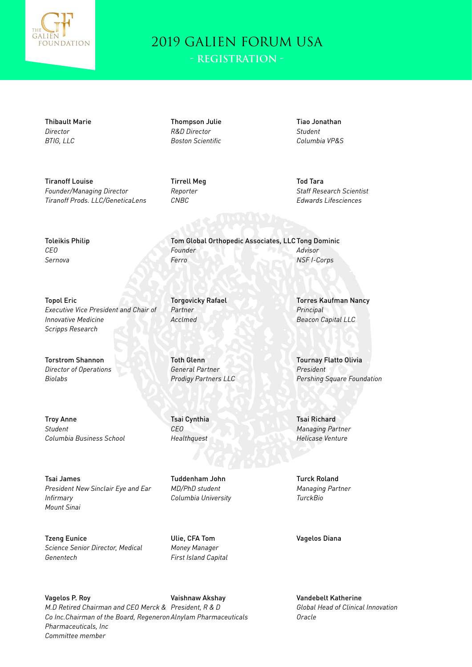

Tom Global Orthopedic Associates, LLC Tong Dominic

**- Registration -**

Thibault Marie *Director BTIG, LLC*

Tiranoff Louise *Founder/Managing Director Tiranoff Prods. LLC/GeneticaLens* Thompson Julie *R&D Director Boston Scientific*

Tirrell Meg *Reporter CNBC*

*Founder Ferro*

*Partner Acclmed*

Toth Glenn *General Partner Prodigy Partners LLC*

Tsai Cynthia *CEO Healthquest*

Torgovicky Rafael

Tiao Jonathan *Student Columbia VP&S*

Tod Tara *Staff Research Scientist Edwards Lifesciences*

Toleikis Philip *CEO Sernova*

Topol Eric *Executive Vice President and Chair of Innovative Medicine Scripps Research*

Torstrom Shannon *Director of Operations Biolabs*

Troy Anne *Student Columbia Business School*

Tsai James *President New Sinclair Eye and Ear Infirmary Mount Sinai*

Tzeng Eunice *Science Senior Director, Medical Genentech*

Ulie, CFA Tom *Money Manager First Island Capital*

Tuddenham John *MD/PhD student Columbia University*

Vagelos P. Roy *M.D Retired Chairman and CEO Merck & President, R & D Co Inc.Chairman of the Board, Regeneron Alnylam Pharmaceuticals Pharmaceuticals, Inc Committee member* Vaishnaw Akshay

Torres Kaufman Nancy *Principal Beacon Capital LLC*

*Advisor NSF I-Corps*

Tournay Flatto Olivia *President Pershing Square Foundation*

Tsai Richard *Managing Partner Helicase Venture*

Turck Roland *Managing Partner TurckBio*

Vagelos Diana

Vandebelt Katherine *Global Head of Clinical Innovation Oracle*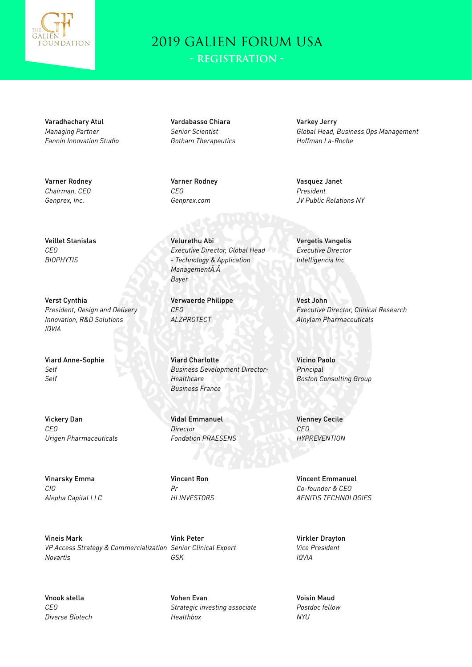

Varadhachary Atul *Managing Partner Fannin Innovation Studio*

Varner Rodney *Chairman, CEO Genprex, Inc.*

Veillet Stanislas *CEO BIOPHYTIS*

Verst Cynthia *President, Design and Delivery Innovation, R&D Solutions IQVIA*

Viard Anne-Sophie *Self Self*

Vickery Dan *CEO Urigen Pharmaceuticals*

Vinarsky Emma *CIO Alepha Capital LLC*

Vineis Mark *VP Access Strategy & Commercialization Senior Clinical Expert Novartis*

Vnook stella *CEO Diverse Biotech* Vardabasso Chiara *Senior Scientist Gotham Therapeutics*

Varner Rodney *CEO Genprex.com*

Velurethu Abi *Executive Director, Global Head - Technology & Application ManagementÂÂ Bayer*

Verwaerde Philippe *CEO ALZPROTECT*

Viard Charlotte *Business Development Director-Healthcare Business France*

Vidal Emmanuel *Director Fondation PRAESENS*

Vincent Ron *Pr HI INVESTORS*

Vink Peter *GSK*

Vohen Evan *Strategic investing associate Healthbox*

Varkey Jerry *Global Head, Business Ops Management Hoffman La-Roche*

Vasquez Janet *President JV Public Relations NY*

Vergetis Vangelis *Executive Director Intelligencia Inc*

Vest John *Executive Director, Clinical Research Alnylam Pharmaceuticals*

Vicino Paolo *Principal Boston Consulting Group*

Vienney Cecile *CEO HYPREVENTION*

Vincent Emmanuel *Co-founder & CEO AENITIS TECHNOLOGIES*

Virkler Drayton *Vice President IQVIA*

Voisin Maud *Postdoc fellow NYU*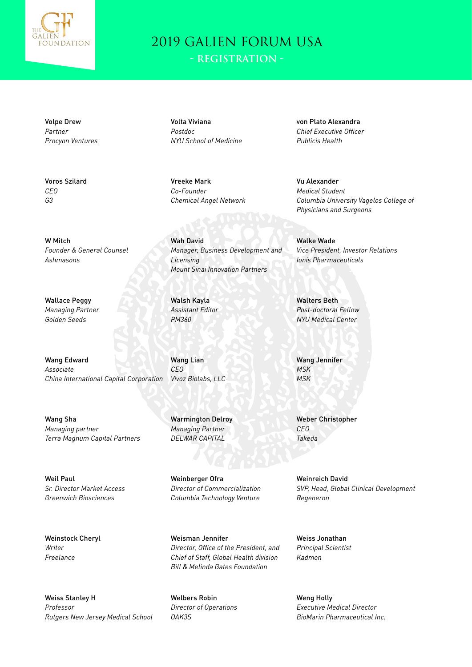

Volpe Drew *Partner Procyon Ventures*

Voros Szilard *CEO G3*

W Mitch *Founder & General Counsel Ashmasons*

Wallace Peggy *Managing Partner Golden Seeds*

Wang Edward *Associate China International Capital Corporation*

Wang Sha *Managing partner Terra Magnum Capital Partners*

Weil Paul *Sr. Director Market Access Greenwich Biosciences*

Weinstock Cheryl *Writer Freelance*

Weiss Stanley H *Professor Rutgers New Jersey Medical School* Volta Viviana *Postdoc NYU School of Medicine*

Vreeke Mark *Co-Founder Chemical Angel Network*

Wah David *Manager, Business Development and Licensing Mount Sinai Innovation Partners*

Walsh Kayla *Assistant Editor PM360*

Wang Lian *CEO Vivoz Biolabs, LLC*

Warmington Delroy *Managing Partner DELWAR CAPITAL*

Weinberger Ofra *Director of Commercialization Columbia Technology Venture*

Weisman Jennifer *Director, Office of the President, and Chief of Staff, Global Health division Bill & Melinda Gates Foundation*

Welbers Robin *Director of Operations OAK3S*

von Plato Alexandra *Chief Executive Officer Publicis Health*

Vu Alexander *Medical Student Columbia University Vagelos College of Physicians and Surgeons*

Walke Wade *Vice President, Investor Relations Ionis Pharmaceuticals*

Walters Beth *Post-doctoral Fellow NYU Medical Center*

Wang Jennifer *MSK MSK*

Weber Christopher *CEO Takeda*

Weinreich David *SVP, Head, Global Clinical Development Regeneron*

Weiss Jonathan *Principal Scientist Kadmon*

Weng Holly *Executive Medical Director BioMarin Pharmaceutical Inc.*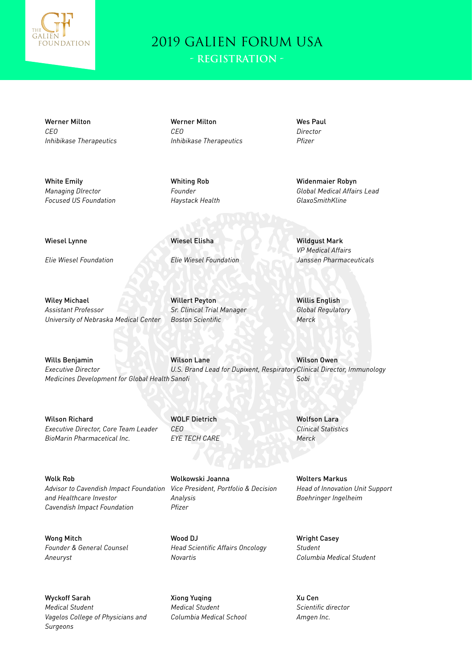

Werner Milton *CEO Inhibikase Therapeutics*

White Emily *Managing DIrector Focused US Foundation* Werner Milton *CEO Inhibikase Therapeutics* Wes Paul *Director Pfizer*

Whiting Rob *Founder Haystack Health*

Wiesel Elisha

Widenmaier Robyn *Global Medical Affairs Lead GlaxoSmithKline*

Wiesel Lynne

*Elie Wiesel Foundation*

*Elie Wiesel Foundation*

Wiley Michael *Assistant Professor University of Nebraska Medical Center*

Willert Peyton *Sr. Clinical Trial Manager Boston Scientific*

Willis English *Global Regulatory Merck*

Wilson Owen

*Sobi*

Wildgust Mark *VP Medical Affairs Janssen Pharmaceuticals*

Wills Benjamin *Executive Director Medicines Development for Global Health Sanofi* Wilson Lane *U.S. Brand Lead for Dupixent, Respiratory Clinical Director, Immunology*

Wilson Richard *Executive Director, Core Team Leader BioMarin Pharmacetical Inc.*

WOLF Dietrich *CEO EYE TECH CARE*

Wolk Rob *Advisor to Cavendish Impact Foundation and Healthcare Investor Cavendish Impact Foundation Analysis Pfizer*

Wong Mitch *Founder & General Counsel Aneuryst*

Wyckoff Sarah *Medical Student Vagelos College of Physicians and Surgeons*

Wolkowski Joanna *Vice President, Portfolio & Decision* 

Wood DJ *Head Scientific Affairs Oncology Novartis*

Xiong Yuqing *Medical Student Columbia Medical School* Wolfson Lara *Clinical Statistics Merck*

Wolters Markus *Head of Innovation Unit Support Boehringer Ingelheim*

Wright Casey *Student Columbia Medical Student*

Xu Cen *Scientific director Amgen Inc.*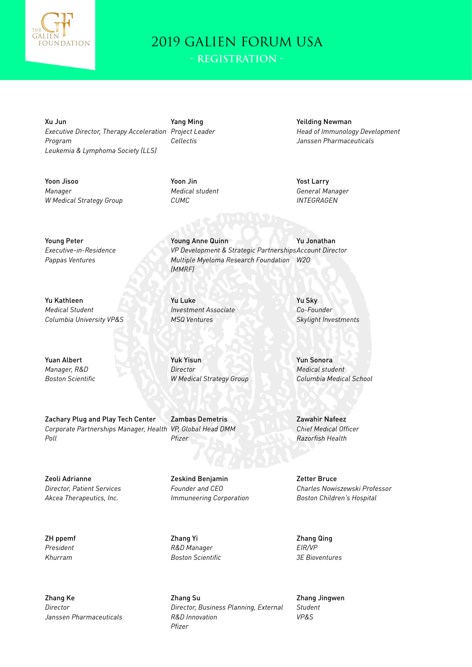

Xu Jun *Executive Director, Therapy Acceleration Project Leader Program Leukemia & Lymphoma Society (LLS)*

Yoon Jisoo *Manager W Medical Strategy Group* Yang Ming *Cellectis*

Yoon Jin *Medical student CUMC*

Young Anne Quinn

*(MMRF)*

*VP Development & Strategic Partnerships Account Director*

*Multiple Myeloma Research Foundation W2O*

Yeilding Newman *Head of Immunology Development Janssen Pharmaceuticals*

Yost Larry *General Manager INTEGRAGEN*

Yu Jonathan

Young Peter *Executive-in-Residence Pappas Ventures*

Yu Kathleen *Medical Student Columbia University VP&S*

Yuan Albert *Manager, R&D Boston Scientific*

Zachary Plug and Play Tech Center *Corporate Partnerships Manager, Health Poll*

Zeoli Adrianne *Director, Patient Services Akcea Therapeutics, Inc.*

ZH ppemf *President Khurram*

Zhang Ke *Director Janssen Pharmaceuticals* Yu Luke *Investment Associate MSQ Ventures*

Yuk Yisun *Director W Medical Strategy Group*

Zambas Demetris *VP, Global Head DMM Pfizer*

Zeskind Benjamin *Founder and CEO Immuneering Corporation*

Zhang Yi *R&D Manager Boston Scientific*

Zhang Su *Director, Business Planning, External R&D Innovation Pfizer*

Yu Sky *Co-Founder Skylight Investments*

Yun Sonora *Medical student Columbia Medical School*

Zawahir Nafeez *Chief Medical Officer Razorfish Health*

Zetter Bruce *Charles Nowiszewski Professor Boston Children's Hospital*

Zhang Qing *EIR/VP 3E Bioventures*

Zhang Jingwen *Student VP&S*